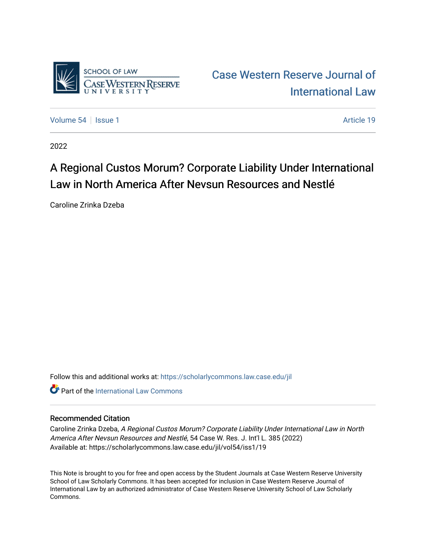

[Case Western Reserve Journal of](https://scholarlycommons.law.case.edu/jil)  [International Law](https://scholarlycommons.law.case.edu/jil) 

[Volume 54](https://scholarlycommons.law.case.edu/jil/vol54) | [Issue 1](https://scholarlycommons.law.case.edu/jil/vol54/iss1) Article 19

2022

## A Regional Custos Morum? Corporate Liability Under International Law in North America After Nevsun Resources and Nestlé

Caroline Zrinka Dzeba

Follow this and additional works at: [https://scholarlycommons.law.case.edu/jil](https://scholarlycommons.law.case.edu/jil?utm_source=scholarlycommons.law.case.edu%2Fjil%2Fvol54%2Fiss1%2F19&utm_medium=PDF&utm_campaign=PDFCoverPages) 

**C** Part of the International Law Commons

## Recommended Citation

Caroline Zrinka Dzeba, A Regional Custos Morum? Corporate Liability Under International Law in North America After Nevsun Resources and Nestlé, 54 Case W. Res. J. Int'l L. 385 (2022) Available at: https://scholarlycommons.law.case.edu/jil/vol54/iss1/19

This Note is brought to you for free and open access by the Student Journals at Case Western Reserve University School of Law Scholarly Commons. It has been accepted for inclusion in Case Western Reserve Journal of International Law by an authorized administrator of Case Western Reserve University School of Law Scholarly Commons.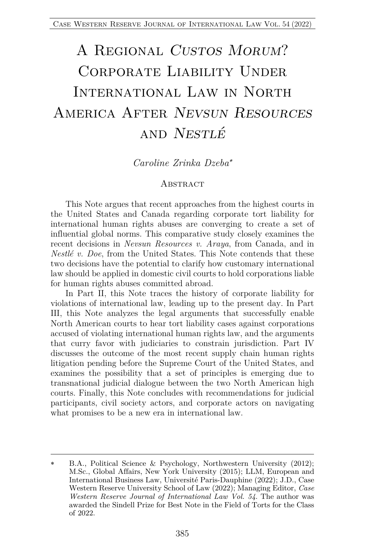# A Regional *Custos Morum*? CORPORATE LIABILITY UNDER International Law in North America After *Nevsun Resources* and *Nestlé*

*Caroline Zrinka Dzeba*\*

#### **ABSTRACT**

This Note argues that recent approaches from the highest courts in the United States and Canada regarding corporate tort liability for international human rights abuses are converging to create a set of influential global norms. This comparative study closely examines the recent decisions in *Nevsun Resources v. Araya*, from Canada, and in *Nestlé v. Doe*, from the United States. This Note contends that these two decisions have the potential to clarify how customary international law should be applied in domestic civil courts to hold corporations liable for human rights abuses committed abroad.

In Part II, this Note traces the history of corporate liability for violations of international law, leading up to the present day. In Part III, this Note analyzes the legal arguments that successfully enable North American courts to hear tort liability cases against corporations accused of violating international human rights law, and the arguments that curry favor with judiciaries to constrain jurisdiction. Part IV discusses the outcome of the most recent supply chain human rights litigation pending before the Supreme Court of the United States, and examines the possibility that a set of principles is emerging due to transnational judicial dialogue between the two North American high courts. Finally, this Note concludes with recommendations for judicial participants, civil society actors, and corporate actors on navigating what promises to be a new era in international law.

<sup>\*</sup> B.A., Political Science & Psychology, Northwestern University (2012); M.Sc., Global Affairs, New York University (2015); LLM, European and International Business Law, Université Paris-Dauphine (2022); J.D., Case Western Reserve University School of Law (2022); Managing Editor, *Case Western Reserve Journal of International Law Vol. 54*. The author was awarded the Sindell Prize for Best Note in the Field of Torts for the Class of 2022.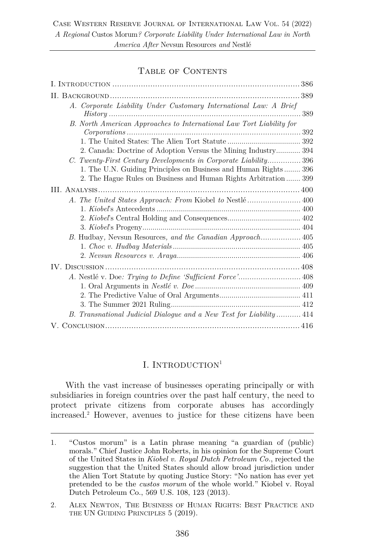## TABLE OF CONTENTS

| A. Corporate Liability Under Customary International Law: A Brief<br>$History \dots 389$ |  |
|------------------------------------------------------------------------------------------|--|
| B. North American Approaches to International Law Tort Liability for                     |  |
|                                                                                          |  |
| 2. Canada: Doctrine of Adoption Versus the Mining Industry 394                           |  |
| C. Twenty-First Century Developments in Corporate Liability396                           |  |
| 1. The U.N. Guiding Principles on Business and Human Rights 396                          |  |
| 2. The Hague Rules on Business and Human Rights Arbitration  399                         |  |
|                                                                                          |  |
| A. The United States Approach: From Kiobel to Nestlé 400                                 |  |
|                                                                                          |  |
|                                                                                          |  |
|                                                                                          |  |
|                                                                                          |  |
|                                                                                          |  |
|                                                                                          |  |
|                                                                                          |  |
|                                                                                          |  |
|                                                                                          |  |
|                                                                                          |  |
|                                                                                          |  |
| B. Transnational Judicial Dialogue and a New Test for Liability 414                      |  |
|                                                                                          |  |

## I. INTRODUCTION<sup>1</sup>

With the vast increase of businesses operating principally or with subsidiaries in foreign countries over the past half century, the need to protect private citizens from corporate abuses has accordingly increased.2 However, avenues to justice for these citizens have been

<sup>1.</sup> "Custos morum" is a Latin phrase meaning "a guardian of (public) morals." Chief Justice John Roberts, in his opinion for the Supreme Court of the United States in *Kiobel v. Royal Dutch Petroleum Co.*, rejected the suggestion that the United States should allow broad jurisdiction under the Alien Tort Statute by quoting Justice Story: "No nation has ever yet pretended to be the *custos morum* of the whole world." Kiobel v. Royal Dutch Petroleum Co., 569 U.S. 108, 123 (2013).

<sup>2.</sup> ALEX NEWTON, THE BUSINESS OF HUMAN RIGHTS: BEST PRACTICE AND THE UN GUIDING PRINCIPLES 5 (2019).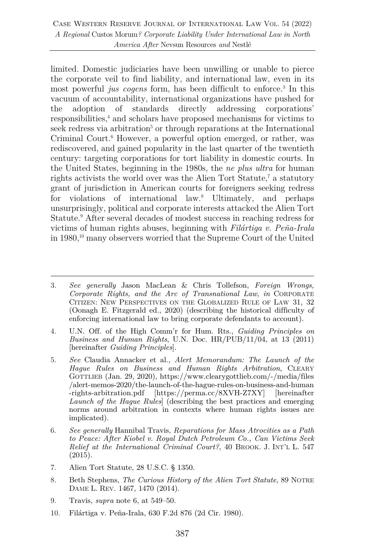limited. Domestic judiciaries have been unwilling or unable to pierce the corporate veil to find liability, and international law, even in its most powerful *jus cogens* form, has been difficult to enforce.<sup>3</sup> In this vacuum of accountability, international organizations have pushed for the adoption of standards directly addressing corporations' responsibilities,4 and scholars have proposed mechanisms for victims to seek redress via arbitration<sup>5</sup> or through reparations at the International Criminal Court.<sup>6</sup> However, a powerful option emerged, or rather, was rediscovered, and gained popularity in the last quarter of the twentieth century: targeting corporations for tort liability in domestic courts. In the United States, beginning in the 1980s, the *ne plus ultra* for human rights activists the world over was the Alien Tort Statute,<sup>7</sup> a statutory grant of jurisdiction in American courts for foreigners seeking redress for violations of international law.8 Ultimately, and perhaps unsurprisingly, political and corporate interests attacked the Alien Tort Statute.<sup>9</sup> After several decades of modest success in reaching redress for victims of human rights abuses, beginning with *Filártiga v. Peña-Irala* in 1980,10 many observers worried that the Supreme Court of the United

- 7. Alien Tort Statute, 28 U.S.C. § 1350.
- 8. Beth Stephens, *The Curious History of the Alien Tort Statute*, 89 NOTRE DAME L. REV. 1467, 1470 (2014).
- 9. Travis, *supra* note 6, at 549–50.
- 10. Filártiga v. Peña-Irala, 630 F.2d 876 (2d Cir. 1980).

<sup>3.</sup> *See generally* Jason MacLean & Chris Tollefson, *Foreign Wrongs, Corporate Rights, and the Arc of Transnational Law*, *in* CORPORATE CITIZEN: NEW PERSPECTIVES ON THE GLOBALIZED RULE OF LAW 31, 32 (Oonagh E. Fitzgerald ed., 2020) (describing the historical difficulty of enforcing international law to bring corporate defendants to account).

<sup>4.</sup> U.N. Off. of the High Comm'r for Hum. Rts., *Guiding Principles on Business and Human Rights*, U.N. Doc. HR/PUB/11/04, at 13 (2011) [hereinafter *Guiding Principles*].

<sup>5.</sup> *See* Claudia Annacker et al., *Alert Memorandum: The Launch of the Hague Rules on Business and Human Rights Arbitration*, CLEARY GOTTLIEB (Jan. 29, 2020), https://www.clearygottlieb.com/-/media/files /alert-memos-2020/the-launch-of-the-hague-rules-on-business-and-human -rights-arbitration.pdf [https://perma.cc/8XVH-Z7XY] [hereinafter *Launch of the Hague Rules*] (describing the best practices and emerging norms around arbitration in contexts where human rights issues are implicated).

<sup>6.</sup> *See generally* Hannibal Travis, *Reparations for Mass Atrocities as a Path to Peace: After Kiobel v. Royal Dutch Petroleum Co., Can Victims Seek Relief at the International Criminal Court?*, 40 BROOK. J. INT'L L. 547 (2015).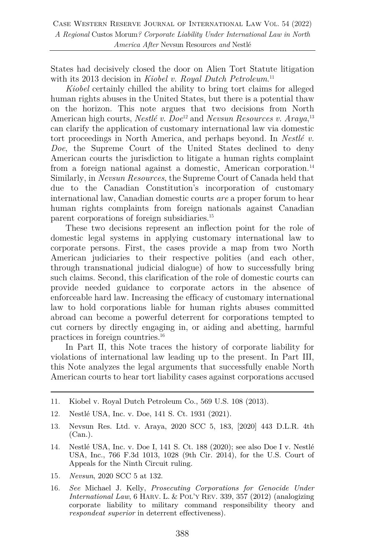States had decisively closed the door on Alien Tort Statute litigation with its 2013 decision in *Kiobel v. Royal Dutch Petroleum*. 11

*Kiobel* certainly chilled the ability to bring tort claims for alleged human rights abuses in the United States, but there is a potential thaw on the horizon. This note argues that two decisions from North American high courts, *Nestlé v. Doe*<sup>12</sup> and *Nevsun Resources v. Araya*,<sup>13</sup> can clarify the application of customary international law via domestic tort proceedings in North America, and perhaps beyond. In *Nestlé v. Doe*, the Supreme Court of the United States declined to deny American courts the jurisdiction to litigate a human rights complaint from a foreign national against a domestic, American corporation.<sup>14</sup> Similarly, in *Nevsun Resources*, the Supreme Court of Canada held that due to the Canadian Constitution's incorporation of customary international law, Canadian domestic courts *are* a proper forum to hear human rights complaints from foreign nationals against Canadian parent corporations of foreign subsidiaries.15

These two decisions represent an inflection point for the role of domestic legal systems in applying customary international law to corporate persons. First, the cases provide a map from two North American judiciaries to their respective polities (and each other, through transnational judicial dialogue) of how to successfully bring such claims. Second, this clarification of the role of domestic courts can provide needed guidance to corporate actors in the absence of enforceable hard law. Increasing the efficacy of customary international law to hold corporations liable for human rights abuses committed abroad can become a powerful deterrent for corporations tempted to cut corners by directly engaging in, or aiding and abetting, harmful practices in foreign countries.16

In Part II, this Note traces the history of corporate liability for violations of international law leading up to the present. In Part III, this Note analyzes the legal arguments that successfully enable North American courts to hear tort liability cases against corporations accused

- 11. Kiobel v. Royal Dutch Petroleum Co., 569 U.S. 108 (2013).
- 12. Nestlé USA, Inc. v. Doe, 141 S. Ct. 1931 (2021).
- 13. Nevsun Res. Ltd. v. Araya, 2020 SCC 5, 183, [2020] 443 D.L.R. 4th (Can.).
- 14. Nestlé USA, Inc. v. Doe I, 141 S. Ct. 188 (2020); see also Doe I v. Nestlé USA, Inc., 766 F.3d 1013, 1028 (9th Cir. 2014), for the U.S. Court of Appeals for the Ninth Circuit ruling.
- 15*. Nevsun*, 2020 SCC 5 at 132.
- 16. *See* Michael J. Kelly, *Prosecuting Corporations for Genocide Under International Law*, 6 HARV. L. & POL'Y REV. 339, 357 (2012) (analogizing corporate liability to military command responsibility theory and *respondeat superior* in deterrent effectiveness).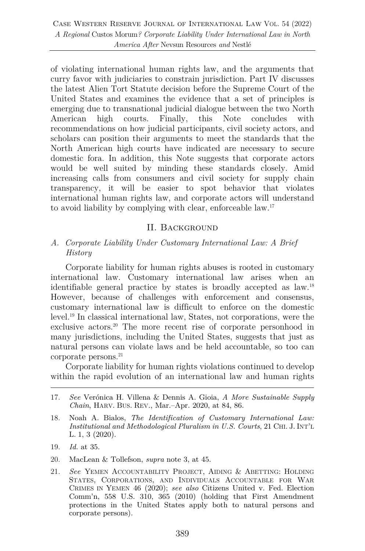of violating international human rights law, and the arguments that curry favor with judiciaries to constrain jurisdiction. Part IV discusses the latest Alien Tort Statute decision before the Supreme Court of the United States and examines the evidence that a set of principles is emerging due to transnational judicial dialogue between the two North American high courts. Finally, this Note concludes with recommendations on how judicial participants, civil society actors, and scholars can position their arguments to meet the standards that the North American high courts have indicated are necessary to secure domestic fora. In addition, this Note suggests that corporate actors would be well suited by minding these standards closely. Amid increasing calls from consumers and civil society for supply chain transparency, it will be easier to spot behavior that violates international human rights law, and corporate actors will understand to avoid liability by complying with clear, enforceable law.17

### II. Background

## *A. Corporate Liability Under Customary International Law: A Brief History*

Corporate liability for human rights abuses is rooted in customary international law. Customary international law arises when an identifiable general practice by states is broadly accepted as law.18 However, because of challenges with enforcement and consensus, customary international law is difficult to enforce on the domestic level.19 In classical international law, States, not corporations, were the exclusive actors.<sup>20</sup> The more recent rise of corporate personhood in many jurisdictions, including the United States, suggests that just as natural persons can violate laws and be held accountable, so too can corporate persons.<sup>21</sup>

Corporate liability for human rights violations continued to develop within the rapid evolution of an international law and human rights

- 17. *See* Verónica H. Villena & Dennis A. Gioia, *A More Sustainable Supply Chain*, HARV. BUS. REV., Mar.–Apr. 2020, at 84, 86.
- 18. Noah A. Bialos, *The Identification of Customary International Law: Institutional and Methodological Pluralism in U.S. Courts*, 21 CHI. J. INT'L L. 1, 3 (2020).
- 19. *Id.* at 35.
- 20. MacLean & Tollefson, *supra* note 3, at 45.
- 21. *See* YEMEN ACCOUNTABILITY PROJECT, AIDING & ABETTING: HOLDING STATES, CORPORATIONS, AND INDIVIDUALS ACCOUNTABLE FOR WAR CRIMES IN YEMEN 46 (2020); *see also* Citizens United v. Fed. Election Comm'n, 558 U.S. 310, 365 (2010) (holding that First Amendment protections in the United States apply both to natural persons and corporate persons).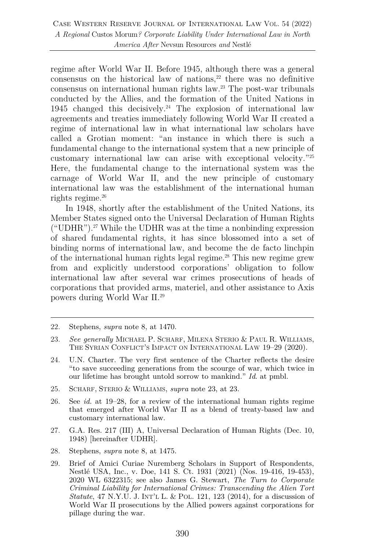regime after World War II. Before 1945, although there was a general consensus on the historical law of nations, $22$  there was no definitive consensus on international human rights law.23 The post-war tribunals conducted by the Allies, and the formation of the United Nations in 1945 changed this decisively.24 The explosion of international law agreements and treaties immediately following World War II created a regime of international law in what international law scholars have called a Grotian moment: "an instance in which there is such a fundamental change to the international system that a new principle of customary international law can arise with exceptional velocity."25 Here, the fundamental change to the international system was the carnage of World War II, and the new principle of customary international law was the establishment of the international human rights regime. $26$ 

In 1948, shortly after the establishment of the United Nations, its Member States signed onto the Universal Declaration of Human Rights ("UDHR").<sup>27</sup> While the UDHR was at the time a nonbinding expression of shared fundamental rights, it has since blossomed into a set of binding norms of international law, and become the de facto linchpin of the international human rights legal regime. $^{28}$  This new regime grew from and explicitly understood corporations' obligation to follow international law after several war crimes prosecutions of heads of corporations that provided arms, materiel, and other assistance to Axis powers during World War II. 29

- 24. U.N. Charter. The very first sentence of the Charter reflects the desire "to save succeeding generations from the scourge of war, which twice in our lifetime has brought untold sorrow to mankind." *Id*. at pmbl.
- 25. SCHARF, STERIO & WILLIAMS, *supra* note 23, at 23.
- 26. See *id.* at 19–28, for a review of the international human rights regime that emerged after World War II as a blend of treaty-based law and customary international law.
- 27. G.A. Res. 217 (III) A, Universal Declaration of Human Rights (Dec. 10, 1948) [hereinafter UDHR].
- 28. Stephens, *supra* note 8, at 1475.
- 29. Brief of Amici Curiae Nuremberg Scholars in Support of Respondents, Nestlé USA, Inc., v. Doe, 141 S. Ct. 1931 (2021) (Nos. 19-416, 19-453), 2020 WL 6322315; see also James G. Stewart, *The Turn to Corporate Criminal Liability for International Crimes: Transcending the Alien Tort Statute*, 47 N.Y.U. J. INT'L L. & POL. 121, 123 (2014), for a discussion of World War II prosecutions by the Allied powers against corporations for pillage during the war.

<sup>22.</sup> Stephens, *supra* note 8, at 1470.

<sup>23.</sup> *See generally* MICHAEL P. SCHARF, MILENA STERIO & PAUL R. WILLIAMS, THE SYRIAN CONFLICT'S IMPACT ON INTERNATIONAL LAW 19–29 (2020).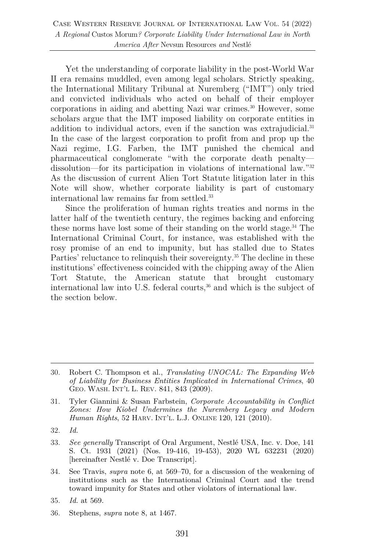Yet the understanding of corporate liability in the post-World War II era remains muddled, even among legal scholars. Strictly speaking, the International Military Tribunal at Nuremberg ("IMT") only tried and convicted individuals who acted on behalf of their employer corporations in aiding and abetting Nazi war crimes.30 However, some scholars argue that the IMT imposed liability on corporate entities in addition to individual actors, even if the sanction was extrajudicial.<sup>31</sup> In the case of the largest corporation to profit from and prop up the Nazi regime, I.G. Farben, the IMT punished the chemical and pharmaceutical conglomerate "with the corporate death penalty dissolution—for its participation in violations of international law."32 As the discussion of current Alien Tort Statute litigation later in this Note will show, whether corporate liability is part of customary international law remains far from settled.<sup>33</sup>

Since the proliferation of human rights treaties and norms in the latter half of the twentieth century, the regimes backing and enforcing these norms have lost some of their standing on the world stage.34 The International Criminal Court, for instance, was established with the rosy promise of an end to impunity, but has stalled due to States Parties' reluctance to relinquish their sovereignty. <sup>35</sup> The decline in these institutions' effectiveness coincided with the chipping away of the Alien Tort Statute, the American statute that brought customary international law into U.S. federal courts, $36$  and which is the subject of the section below.

- 32. *Id.*
- 33. *See generally* Transcript of Oral Argument, Nestlé USA, Inc. v. Doe, 141 S. Ct. 1931 (2021) (Nos. 19-416, 19-453), 2020 WL 632231 (2020) [hereinafter Nestlé v. Doe Transcript].
- 34. See Travis, *supra* note 6, at 569–70, for a discussion of the weakening of institutions such as the International Criminal Court and the trend toward impunity for States and other violators of international law.
- 35. *Id.* at 569.
- 36. Stephens, *supra* note 8, at 1467.

<sup>30.</sup> Robert C. Thompson et al., *Translating UNOCAL: The Expanding Web of Liability for Business Entities Implicated in International Crimes*, 40 GEO. WASH. INT'L L. REV. 841, 843 (2009).

<sup>31.</sup> Tyler Giannini & Susan Farbstein, *Corporate Accountability in Conflict Zones: How Kiobel Undermines the Nuremberg Legacy and Modern Human Rights*, 52 HARV. INT'L. L.J. ONLINE 120, 121 (2010).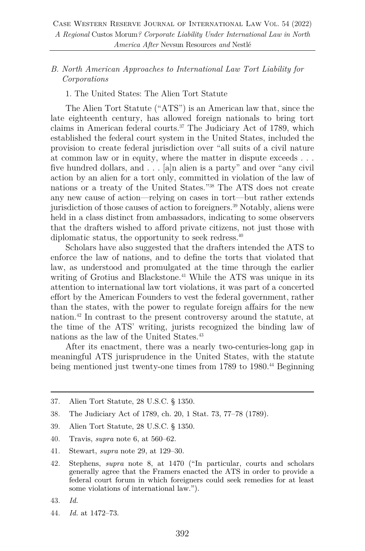## *B. North American Approaches to International Law Tort Liability for Corporations*

1. The United States: The Alien Tort Statute

The Alien Tort Statute ("ATS") is an American law that, since the late eighteenth century, has allowed foreign nationals to bring tort claims in American federal courts.37 The Judiciary Act of 1789, which established the federal court system in the United States, included the provision to create federal jurisdiction over "all suits of a civil nature at common law or in equity, where the matter in dispute exceeds . . . five hundred dollars, and . . . [a]n alien is a party" and over "any civil action by an alien for a tort only, committed in violation of the law of nations or a treaty of the United States."38 The ATS does not create any new cause of action—relying on cases in tort—but rather extends jurisdiction of those causes of action to foreigners.<sup>39</sup> Notably, aliens were held in a class distinct from ambassadors, indicating to some observers that the drafters wished to afford private citizens, not just those with diplomatic status, the opportunity to seek redress.<sup>40</sup>

Scholars have also suggested that the drafters intended the ATS to enforce the law of nations, and to define the torts that violated that law, as understood and promulgated at the time through the earlier writing of Grotius and Blackstone.<sup>41</sup> While the ATS was unique in its attention to international law tort violations, it was part of a concerted effort by the American Founders to vest the federal government, rather than the states, with the power to regulate foreign affairs for the new nation.42 In contrast to the present controversy around the statute, at the time of the ATS' writing, jurists recognized the binding law of nations as the law of the United States.<sup>43</sup>

After its enactment, there was a nearly two-centuries-long gap in meaningful ATS jurisprudence in the United States, with the statute being mentioned just twenty-one times from 1789 to 1980.<sup>44</sup> Beginning

- 38. The Judiciary Act of 1789, ch. 20, 1 Stat. 73, 77–78 (1789).
- 39. Alien Tort Statute, 28 U.S.C. § 1350.
- 40. Travis, *supra* note 6, at 560–62.
- 41. Stewart, *supra* note 29, at 129–30.
- 42. Stephens, *supra* note 8, at 1470 ("In particular, courts and scholars generally agree that the Framers enacted the ATS in order to provide a federal court forum in which foreigners could seek remedies for at least some violations of international law.").
- 43. *Id.*
- 44. *Id.* at 1472–73.

<sup>37.</sup> Alien Tort Statute, 28 U.S.C. § 1350.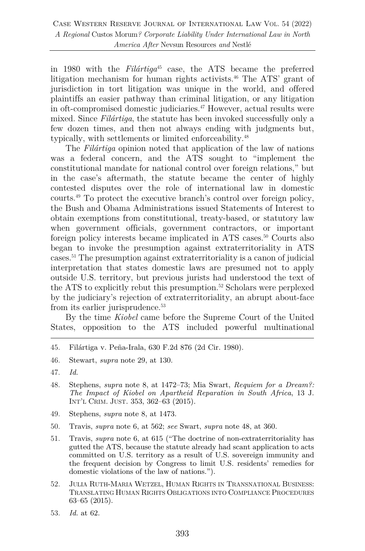in 1980 with the *Filártiga*<sup>45</sup> case, the ATS became the preferred litigation mechanism for human rights activists.<sup>46</sup> The ATS' grant of jurisdiction in tort litigation was unique in the world, and offered plaintiffs an easier pathway than criminal litigation, or any litigation in oft-compromised domestic judiciaries.<sup>47</sup> However, actual results were mixed. Since *Filártiga*, the statute has been invoked successfully only a few dozen times, and then not always ending with judgments but, typically, with settlements or limited enforceability.<sup>48</sup>

The *Filártiga* opinion noted that application of the law of nations was a federal concern, and the ATS sought to "implement the constitutional mandate for national control over foreign relations," but in the case's aftermath, the statute became the center of highly contested disputes over the role of international law in domestic courts.49 To protect the executive branch's control over foreign policy, the Bush and Obama Administrations issued Statements of Interest to obtain exemptions from constitutional, treaty-based, or statutory law when government officials, government contractors, or important foreign policy interests became implicated in ATS cases.<sup>50</sup> Courts also began to invoke the presumption against extraterritoriality in ATS cases.51 The presumption against extraterritoriality is a canon of judicial interpretation that states domestic laws are presumed not to apply outside U.S. territory, but previous jurists had understood the text of the ATS to explicitly rebut this presumption.<sup>52</sup> Scholars were perplexed by the judiciary's rejection of extraterritoriality, an abrupt about-face from its earlier jurisprudence.<sup>53</sup>

By the time *Kiobel* came before the Supreme Court of the United States, opposition to the ATS included powerful multinational

- 48. Stephens, *supra* note 8, at 1472–73; Mia Swart, *Requiem for a Dream?: The Impact of Kiobel on Apartheid Reparation in South Africa*, 13 J. INT'L CRIM. JUST. 353, 362–63 (2015).
- 49. Stephens, *supra* note 8, at 1473.
- 50. Travis, *supra* note 6, at 562; *see* Swart, *supra* note 48, at 360.
- 51. Travis, *supra* note 6, at 615 ("The doctrine of non-extraterritoriality has gutted the ATS, because the statute already had scant application to acts committed on U.S. territory as a result of U.S. sovereign immunity and the frequent decision by Congress to limit U.S. residents' remedies for domestic violations of the law of nations.").
- 52. JULIA RUTH-MARIA WETZEL, HUMAN RIGHTS IN TRANSNATIONAL BUSINESS: TRANSLATING HUMAN RIGHTS OBLIGATIONS INTO COMPLIANCE PROCEDURES 63–65 (2015).
- 53. *Id.* at 62.

<sup>45.</sup> Filártiga v. Peña-Irala, 630 F.2d 876 (2d Cir. 1980).

<sup>46.</sup> Stewart, *supra* note 29, at 130.

<sup>47.</sup> *Id.*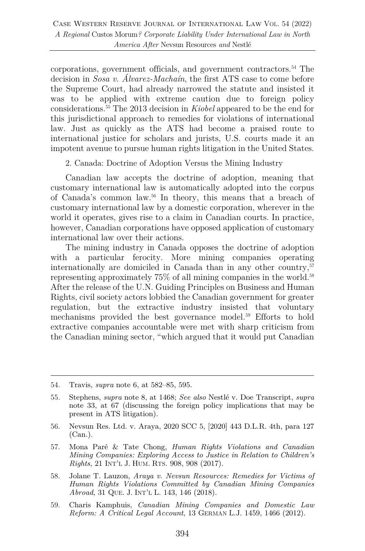corporations, government officials, and government contractors.54 The decision in *Sosa v. Álvarez-Machaín*, the first ATS case to come before the Supreme Court, had already narrowed the statute and insisted it was to be applied with extreme caution due to foreign policy considerations.55 The 2013 decision in *Kiobel* appeared to be the end for this jurisdictional approach to remedies for violations of international law. Just as quickly as the ATS had become a praised route to international justice for scholars and jurists, U.S. courts made it an impotent avenue to pursue human rights litigation in the United States.

2. Canada: Doctrine of Adoption Versus the Mining Industry

Canadian law accepts the doctrine of adoption, meaning that customary international law is automatically adopted into the corpus of Canada's common law.56 In theory, this means that a breach of customary international law by a domestic corporation, wherever in the world it operates, gives rise to a claim in Canadian courts. In practice, however, Canadian corporations have opposed application of customary international law over their actions.

The mining industry in Canada opposes the doctrine of adoption with a particular ferocity. More mining companies operating internationally are domiciled in Canada than in any other country,  $57$ representing approximately 75% of all mining companies in the world.<sup>58</sup> After the release of the U.N. Guiding Principles on Business and Human Rights, civil society actors lobbied the Canadian government for greater regulation, but the extractive industry insisted that voluntary mechanisms provided the best governance model.59 Efforts to hold extractive companies accountable were met with sharp criticism from the Canadian mining sector, "which argued that it would put Canadian

- 56. Nevsun Res. Ltd. v. Araya, 2020 SCC 5, [2020] 443 D.L.R. 4th, para 127 (Can.).
- 57. Mona Paré & Tate Chong, *Human Rights Violations and Canadian Mining Companies: Exploring Access to Justice in Relation to Children's Rights*, 21 INT'L J. HUM. RTS. 908, 908 (2017).
- 58. Jolane T. Lauzon, *Araya v. Nevsun Resources: Remedies for Victims of Human Rights Violations Committed by Canadian Mining Companies Abroad*, 31 QUE. J. INT'L L. 143, 146 (2018).
- 59. Charis Kamphuis, *Canadian Mining Companies and Domestic Law Reform: A Critical Legal Account*, 13 GERMAN L.J. 1459, 1466 (2012).

<sup>54.</sup> Travis, *supra* note 6, at 582–85, 595.

<sup>55.</sup> Stephens, *supra* note 8, at 1468; *See also* Nestlé v. Doe Transcript, *supra* note 33, at 67 (discussing the foreign policy implications that may be present in ATS litigation).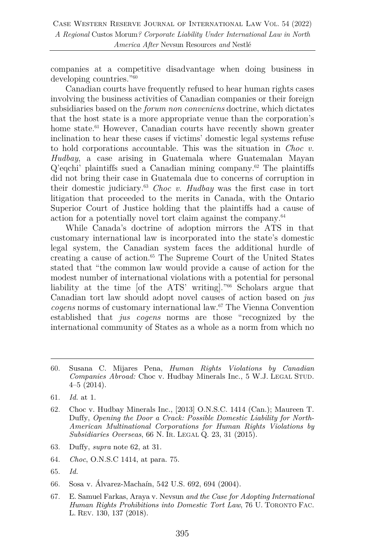companies at a competitive disadvantage when doing business in developing countries."60

Canadian courts have frequently refused to hear human rights cases involving the business activities of Canadian companies or their foreign subsidiaries based on the *forum non conveniens* doctrine, which dictates that the host state is a more appropriate venue than the corporation's home state.<sup>61</sup> However, Canadian courts have recently shown greater inclination to hear these cases if victims' domestic legal systems refuse to hold corporations accountable. This was the situation in *Choc v. Hudbay*, a case arising in Guatemala where Guatemalan Mayan Q'eqchi' plaintiffs sued a Canadian mining company.62 The plaintiffs did not bring their case in Guatemala due to concerns of corruption in their domestic judiciary.63 *Choc v. Hudbay* was the first case in tort litigation that proceeded to the merits in Canada, with the Ontario Superior Court of Justice holding that the plaintiffs had a cause of action for a potentially novel tort claim against the company.64

While Canada's doctrine of adoption mirrors the ATS in that customary international law is incorporated into the state's domestic legal system, the Canadian system faces the additional hurdle of creating a cause of action.65 The Supreme Court of the United States stated that "the common law would provide a cause of action for the modest number of international violations with a potential for personal liability at the time [of the ATS' writing]."66 Scholars argue that Canadian tort law should adopt novel causes of action based on *jus cogens* norms of customary international law.67 The Vienna Convention established that *jus cogens* norms are those "recognized by the international community of States as a whole as a norm from which no

- 60. Susana C. Mijares Pena, *Human Rights Violations by Canadian Companies Abroad:* Choc v. Hudbay Minerals Inc., 5 W.J. LEGAL STUD. 4–5 (2014).
- 61. *Id.* at 1.
- 62. Choc v. Hudbay Minerals Inc., [2013] O.N.S.C. 1414 (Can.); Maureen T. Duffy, *Opening the Door a Crack: Possible Domestic Liability for North-American Multinational Corporations for Human Rights Violations by Subsidiaries Overseas*, 66 N. IR. LEGAL Q. 23, 31 (2015).
- 63. Duffy, *supra* note 62, at 31.
- 64. *Choc*, O.N.S.C 1414, at para. 75.
- 65. *Id.*
- 66. Sosa v. Álvarez-Machaín, 542 U.S. 692, 694 (2004).
- 67. E. Samuel Farkas, Araya v. Nevsun *and the Case for Adopting International Human Rights Prohibitions into Domestic Tort Law*, 76 U. TORONTO FAC. L. REV. 130, 137 (2018).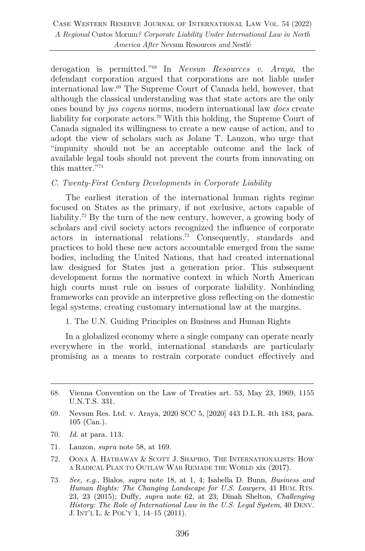derogation is permitted."68 In *Nevsun Resources v. Araya*, the defendant corporation argued that corporations are not liable under international law.69 The Supreme Court of Canada held, however, that although the classical understanding was that state actors are the only ones bound by *jus cogens* norms, modern international law *does* create liability for corporate actors.<sup>70</sup> With this holding, the Supreme Court of Canada signaled its willingness to create a new cause of action, and to adopt the view of scholars such as Jolane T. Lauzon, who urge that "impunity should not be an acceptable outcome and the lack of available legal tools should not prevent the courts from innovating on this matter."<sup>71</sup>

#### *C. Twenty-First Century Developments in Corporate Liability*

The earliest iteration of the international human rights regime focused on States as the primary, if not exclusive, actors capable of liability.<sup>72</sup> By the turn of the new century, however, a growing body of scholars and civil society actors recognized the influence of corporate actors in international relations.73 Consequently, standards and practices to hold these new actors accountable emerged from the same bodies, including the United Nations, that had created international law designed for States just a generation prior. This subsequent development forms the normative context in which North American high courts must rule on issues of corporate liability. Nonbinding frameworks can provide an interpretive gloss reflecting on the domestic legal systems, creating customary international law at the margins.

#### 1. The U.N. Guiding Principles on Business and Human Rights

In a globalized economy where a single company can operate nearly everywhere in the world, international standards are particularly promising as a means to restrain corporate conduct effectively and

- 71. Lauzon, *supra* note 58, at 169.
- 72. OONA A. HATHAWAY & SCOTT J. SHAPIRO, THE INTERNATIONALISTS: HOW A RADICAL PLAN TO OUTLAW WAR REMADE THE WORLD xix (2017).
- 73. *See, e.g.*, Bialos, *supra* note 18, at 1, 4; Isabella D. Bunn, *Business and Human Rights: The Changing Landscape for U.S. Lawyers*, 41 HUM. RTS. 23, 23 (2015); Duffy, *supra* note 62, at 23; Dinah Shelton, *Challenging History: The Role of International Law in the U.S. Legal System*, 40 DENV. J. INT'L L. & POL'Y 1, 14–15 (2011).

<sup>68.</sup> Vienna Convention on the Law of Treaties art. 53, May 23, 1969, 1155 U.N.T.S. 331.

<sup>69.</sup> Nevsun Res. Ltd. v. Araya, 2020 SCC 5, [2020] 443 D.L.R. 4th 183, para. 105 (Can.).

<sup>70.</sup> *Id.* at para. 113.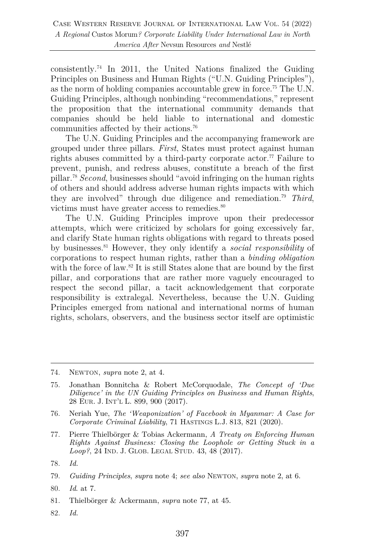$\alpha$ consistently.<sup>74</sup> In 2011, the United Nations finalized the Guiding Principles on Business and Human Rights ("U.N. Guiding Principles"), as the norm of holding companies accountable grew in force.75 The U.N. Guiding Principles, although nonbinding "recommendations," represent the proposition that the international community demands that companies should be held liable to international and domestic communities affected by their actions.76

The U.N. Guiding Principles and the accompanying framework are grouped under three pillars. *First*, States must protect against human rights abuses committed by a third-party corporate actor.<sup>77</sup> Failure to prevent, punish, and redress abuses, constitute a breach of the first pillar.78 *Second*, businesses should "avoid infringing on the human rights of others and should address adverse human rights impacts with which they are involved" through due diligence and remediation.79 *Third*, victims must have greater access to remedies.<sup>80</sup>

The U.N. Guiding Principles improve upon their predecessor attempts, which were criticized by scholars for going excessively far, and clarify State human rights obligations with regard to threats posed by businesses. <sup>81</sup> However, they only identify a *social responsibility* of corporations to respect human rights, rather than a *binding obligation* with the force of law.<sup>82</sup> It is still States alone that are bound by the first pillar, and corporations that are rather more vaguely encouraged to respect the second pillar, a tacit acknowledgement that corporate responsibility is extralegal. Nevertheless, because the U.N. Guiding Principles emerged from national and international norms of human rights, scholars, observers, and the business sector itself are optimistic

- 75. Jonathan Bonnitcha & Robert McCorquodale, *The Concept of 'Due Diligence' in the UN Guiding Principles on Business and Human Rights*, 28 EUR. J. INT'L L. 899, 900 (2017).
- 76. Neriah Yue, *The 'Weaponization' of Facebook in Myanmar: A Case for Corporate Criminal Liability*, 71 HASTINGS L.J. 813, 821 (2020).
- 77. Pierre Thielbörger & Tobias Ackermann, *A Treaty on Enforcing Human Rights Against Business: Closing the Loophole or Getting Stuck in a Loop?*, 24 IND. J. GLOB. LEGAL STUD. 43, 48 (2017).

- 81. Thielbörger & Ackermann, *supra* note 77, at 45.
- 82. *Id.*

<sup>74.</sup> NEWTON, *supra* note 2, at 4.

<sup>78.</sup> *Id.*

<sup>79.</sup> *Guiding Principles*, *supra* note 4; *see also* NEWTON, *supra* note 2, at 6.

<sup>80.</sup> *Id*. at 7.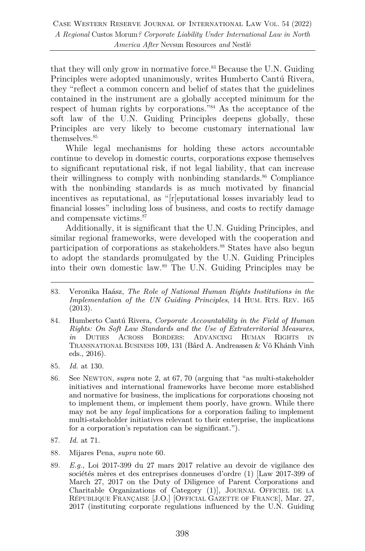that they will only grow in normative force.<sup>83</sup> Because the U.N. Guiding Principles were adopted unanimously, writes Humberto Cantú Rivera, they "reflect a common concern and belief of states that the guidelines contained in the instrument are a globally accepted minimum for the respect of human rights by corporations."84 As the acceptance of the soft law of the U.N. Guiding Principles deepens globally, these Principles are very likely to become customary international law themselves.<sup>85</sup>

While legal mechanisms for holding these actors accountable continue to develop in domestic courts, corporations expose themselves to significant reputational risk, if not legal liability, that can increase their willingness to comply with nonbinding standards. $86$  Compliance with the nonbinding standards is as much motivated by financial incentives as reputational, as "[r]eputational losses invariably lead to financial losses" including loss of business, and costs to rectify damage and compensate victims.<sup>87</sup>

Additionally, it is significant that the U.N. Guiding Principles, and similar regional frameworks, were developed with the cooperation and participation of corporations as stakeholders.<sup>88</sup> States have also begun to adopt the standards promulgated by the U.N. Guiding Principles into their own domestic law. <sup>89</sup> The U.N. Guiding Principles may be

- 85. *Id.* at 130.
- 86. See NEWTON, *supra* note 2, at 67, 70 (arguing that "as multi-stakeholder initiatives and international frameworks have become more established and normative for business, the implications for corporations choosing not to implement them, or implement them poorly, have grown. While there may not be any *legal* implications for a corporation failing to implement multi-stakeholder initiatives relevant to their enterprise, the implications for a corporation's reputation can be significant.").

- 88. Mijares Pena, *supra* note 60.
- 89. *E.g.*, Loi 2017-399 du 27 mars 2017 relative au devoir de vigilance des sociétés mères et des entreprises donneuses d'ordre (1) [Law 2017-399 of March 27, 2017 on the Duty of Diligence of Parent Corporations and Charitable Organizations of Category (1)], JOURNAL OFFICIEL DE LA RÉPUBLIQUE FRANÇAISE [J.O.] [OFFICIAL GAZETTE OF FRANCE], Mar. 27, 2017 (instituting corporate regulations influenced by the U.N. Guiding

<sup>83.</sup> Veronika Haász, *The Role of National Human Rights Institutions in the Implementation of the UN Guiding Principles*, 14 HUM. RTS. REV. 165 (2013).

<sup>84.</sup> Humberto Cantú Rivera, *Corporate Accountability in the Field of Human Rights: On Soft Law Standards and the Use of Extraterritorial Measures*, *in* DUTIES ACROSS BORDERS: ADVANCING HUMAN RIGHTS IN TRANSNATIONAL BUSINESS 109, 131 (Bård A. Andreassen & Võ Khánh Vinh eds., 2016).

<sup>87.</sup> *Id.* at 71.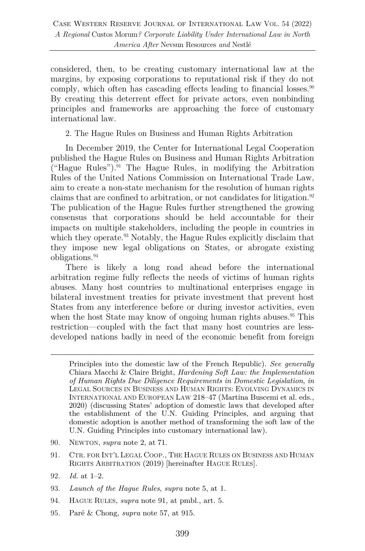considered, then, to be creating customary international law at the margins, by exposing corporations to reputational risk if they do not comply, which often has cascading effects leading to financial losses. $90$ By creating this deterrent effect for private actors, even nonbinding principles and frameworks are approaching the force of customary international law.

2. The Hague Rules on Business and Human Rights Arbitration

In December 2019, the Center for International Legal Cooperation published the Hague Rules on Business and Human Rights Arbitration  $("Hague Rules").<sup>91</sup> The Hague Rules, in modifying the Arbitration$ Rules of the United Nations Commission on International Trade Law, aim to create a non-state mechanism for the resolution of human rights claims that are confined to arbitration, or not candidates for litigation.<sup>92</sup> The publication of the Hague Rules further strengthened the growing consensus that corporations should be held accountable for their impacts on multiple stakeholders, including the people in countries in which they operate.<sup>93</sup> Notably, the Hague Rules explicitly disclaim that they impose new legal obligations on States, or abrogate existing obligations.94

There is likely a long road ahead before the international arbitration regime fully reflects the needs of victims of human rights abuses. Many host countries to multinational enterprises engage in bilateral investment treaties for private investment that prevent host States from any interference before or during investor activities, even when the host State may know of ongoing human rights abuses.<sup>95</sup> This restriction—coupled with the fact that many host countries are lessdeveloped nations badly in need of the economic benefit from foreign

- 90. NEWTON, *supra* note 2, at 71.
- 91. CTR. FOR INT'L LEGAL COOP., THE HAGUE RULES ON BUSINESS AND HUMAN RIGHTS ARBITRATION (2019) [hereinafter HAGUE RULES].
- 92. *Id.* at 1–2.
- 93. *Launch of the Hague Rules*, *supra* note 5, at 1.
- 94. HAGUE RULES, *supra* note 91, at pmbl., art. 5.
- 95. Paré & Chong, *supra* note 57, at 915.

Principles into the domestic law of the French Republic). *See generally* Chiara Macchi & Claire Bright, *Hardening Soft Law: the Implementation of Human Rights Due Diligence Requirements in Domestic Legislation*, *in* LEGAL SOURCES IN BUSINESS AND HUMAN RIGHTS: EVOLVING DYNAMICS IN INTERNATIONAL AND EUROPEAN LAW 218–47 (Martina Buscemi et al. eds., 2020) (discussing States' adoption of domestic laws that developed after the establishment of the U.N. Guiding Principles, and arguing that domestic adoption is another method of transforming the soft law of the U.N. Guiding Principles into customary international law).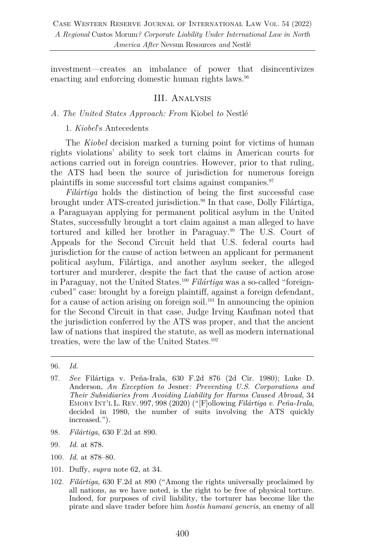investment—creates an imbalance of power that disincentivizes enacting and enforcing domestic human rights laws.<sup>96</sup>

## III. Analysis

#### *A. The United States Approach: From* Kiobel *to* Nestlé

#### 1. *Kiobel*'s Antecedents

The *Kiobel* decision marked a turning point for victims of human rights violations' ability to seek tort claims in American courts for actions carried out in foreign countries. However, prior to that ruling, the ATS had been the source of jurisdiction for numerous foreign plaintiffs in some successful tort claims against companies.97

*Filártiga* holds the distinction of being the first successful case brought under ATS-created jurisdiction.<sup>98</sup> In that case, Dolly Filártiga, a Paraguayan applying for permanent political asylum in the United States, successfully brought a tort claim against a man alleged to have tortured and killed her brother in Paraguay.99 The U.S. Court of Appeals for the Second Circuit held that U.S. federal courts had jurisdiction for the cause of action between an applicant for permanent political asylum, Filártiga, and another asylum seeker, the alleged torturer and murderer, despite the fact that the cause of action arose in Paraguay, not the United States.100 *Filártiga* was a so-called "foreigncubed" case: brought by a foreign plaintiff, against a foreign defendant, for a cause of action arising on foreign soil.<sup>101</sup> In announcing the opinion for the Second Circuit in that case, Judge Irving Kaufman noted that the jurisdiction conferred by the ATS was proper, and that the ancient law of nations that inspired the statute, as well as modern international treaties, were the law of the United States.102

- 98. *Filártiga*, 630 F.2d at 890.
- 99. *Id.* at 878.
- 100. *Id.* at 878–80.
- 101. Duffy, *supra* note 62, at 34.
- 102. *Filártiga*, 630 F.2d at 890 ("Among the rights universally proclaimed by all nations, as we have noted, is the right to be free of physical torture. Indeed, for purposes of civil liability, the torturer has become like the pirate and slave trader before him *hostis humani generis*, an enemy of all

<sup>96.</sup> *Id.* 

<sup>97.</sup> *See* Filártiga v. Peña-Irala, 630 F.2d 876 (2d Cir. 1980); Luke D. Anderson, *An Exception to* Jesner*: Preventing U.S. Corporations and Their Subsidiaries from Avoiding Liability for Harms Caused Abroad*, 34 EMORY INT'L L. REV. 997, 998 (2020) ("[F]ollowing *Filártiga v. Peña-Irala*, decided in 1980, the number of suits involving the ATS quickly increased.").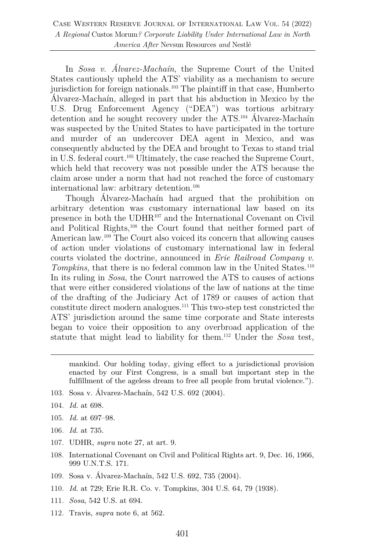In *Sosa v. Álvarez-Machaín*, the Supreme Court of the United States cautiously upheld the ATS' viability as a mechanism to secure jurisdiction for foreign nationals.103 The plaintiff in that case, Humberto Álvarez-Machaín, alleged in part that his abduction in Mexico by the U.S. Drug Enforcement Agency ("DEA") was tortious arbitrary detention and he sought recovery under the ATS.104 Álvarez-Machaín was suspected by the United States to have participated in the torture and murder of an undercover DEA agent in Mexico, and was consequently abducted by the DEA and brought to Texas to stand trial in U.S. federal court.105 Ultimately, the case reached the Supreme Court, which held that recovery was not possible under the ATS because the claim arose under a norm that had not reached the force of customary international law: arbitrary detention.<sup>106</sup>

Though Álvarez-Machaín had argued that the prohibition on arbitrary detention was customary international law based on its presence in both the UDHR107 and the International Covenant on Civil and Political Rights,<sup>108</sup> the Court found that neither formed part of American law.109 The Court also voiced its concern that allowing causes of action under violations of customary international law in federal courts violated the doctrine, announced in *Erie Railroad Company v. Tompkins*, that there is no federal common law in the United States.<sup>110</sup> In its ruling in *Sosa*, the Court narrowed the ATS to causes of actions that were either considered violations of the law of nations at the time of the drafting of the Judiciary Act of 1789 or causes of action that constitute direct modern analogues.111 This two-step test constricted the ATS' jurisdiction around the same time corporate and State interests began to voice their opposition to any overbroad application of the statute that might lead to liability for them.112 Under the *Sosa* test,

mankind. Our holding today, giving effect to a jurisdictional provision enacted by our First Congress, is a small but important step in the fulfillment of the ageless dream to free all people from brutal violence.").

- 103. Sosa v. Álvarez-Machaín, 542 U.S. 692 (2004).
- 104. *Id.* at 698.
- 105. *Id.* at 697–98.
- 106. *Id.* at 735.
- 107. UDHR, *supra* note 27, at art. 9.
- 108. International Covenant on Civil and Political Rights art. 9, Dec. 16, 1966, 999 U.N.T.S. 171.
- 109. Sosa v. Álvarez-Machaín, 542 U.S. 692, 735 (2004).
- 110. *Id.* at 729; Erie R.R. Co. v. Tompkins*,* 304 U.S. 64, 79 (1938).
- 111. *Sosa*, 542 U.S. at 694.
- 112. Travis, *supra* note 6, at 562.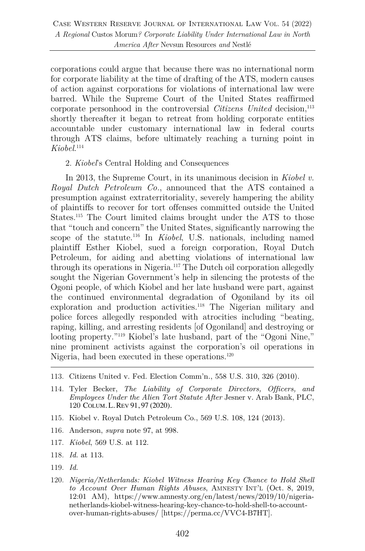corporations could argue that because there was no international norm for corporate liability at the time of drafting of the ATS, modern causes of action against corporations for violations of international law were barred. While the Supreme Court of the United States reaffirmed corporate personhood in the controversial *Citizens United* decision,<sup>113</sup> shortly thereafter it began to retreat from holding corporate entities accountable under customary international law in federal courts through ATS claims, before ultimately reaching a turning point in *Kiobel*. 114

#### 2. *Kiobel*'s Central Holding and Consequences

In 2013, the Supreme Court, in its unanimous decision in *Kiobel v. Royal Dutch Petroleum Co.*, announced that the ATS contained a presumption against extraterritoriality, severely hampering the ability of plaintiffs to recover for tort offenses committed outside the United States.115 The Court limited claims brought under the ATS to those that "touch and concern" the United States, significantly narrowing the scope of the statute.116 In *Kiobel*, U.S. nationals, including named plaintiff Esther Kiobel, sued a foreign corporation, Royal Dutch Petroleum, for aiding and abetting violations of international law through its operations in Nigeria.117 The Dutch oil corporation allegedly sought the Nigerian Government's help in silencing the protests of the Ogoni people, of which Kiobel and her late husband were part, against the continued environmental degradation of Ogoniland by its oil exploration and production activities.<sup>118</sup> The Nigerian military and police forces allegedly responded with atrocities including "beating, raping, killing, and arresting residents [of Ogoniland] and destroying or looting property."<sup>119</sup> Kiobel's late husband, part of the "Ogoni Nine," nine prominent activists against the corporation's oil operations in Nigeria, had been executed in these operations.<sup>120</sup>

- 113. Citizens United v. Fed. Election Comm'n*.*, 558 U.S. 310, 326 (2010).
- 114. Tyler Becker, *The Liability of Corporate Directors, Officers, and Employees Under the Alien Tort Statute After* Jesner v. Arab Bank, PLC, 120 COLUM. L. REV 91, 97 (2020).
- 115. Kiobel v. Royal Dutch Petroleum Co., 569 U.S. 108, 124 (2013).
- 116. Anderson, *supra* note 97, at 998.
- 117. *Kiobel*, 569 U.S. at 112.
- 118. *Id.* at 113.
- 119. *Id.*
- 120. *Nigeria/Netherlands: Kiobel Witness Hearing Key Chance to Hold Shell to Account Over Human Rights Abuses*, AMNESTY INT'L (Oct. 8, 2019, 12:01 AM), https://www.amnesty.org/en/latest/news/2019/10/nigerianetherlands-kiobel-witness-hearing-key-chance-to-hold-shell-to-accountover-human-rights-abuses/ [https://perma.cc/VVC4-B7HT].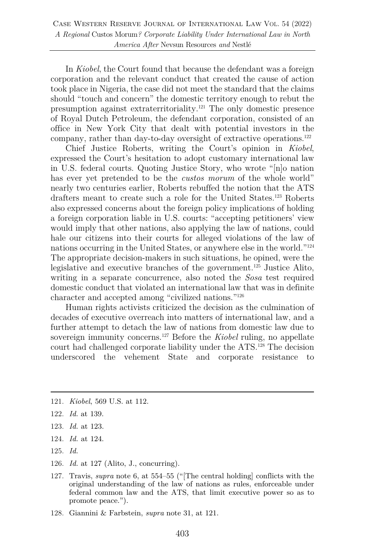In *Kiobel*, the Court found that because the defendant was a foreign corporation and the relevant conduct that created the cause of action took place in Nigeria, the case did not meet the standard that the claims should "touch and concern" the domestic territory enough to rebut the presumption against extraterritoriality.121 The only domestic presence of Royal Dutch Petroleum, the defendant corporation, consisted of an office in New York City that dealt with potential investors in the company, rather than day-to-day oversight of extractive operations.<sup>122</sup>

Chief Justice Roberts, writing the Court's opinion in *Kiobel*, expressed the Court's hesitation to adopt customary international law in U.S. federal courts. Quoting Justice Story, who wrote "[n]o nation has ever yet pretended to be the *custos morum* of the whole world" nearly two centuries earlier, Roberts rebuffed the notion that the ATS drafters meant to create such a role for the United States.<sup>123</sup> Roberts also expressed concerns about the foreign policy implications of holding a foreign corporation liable in U.S. courts: "accepting petitioners' view would imply that other nations, also applying the law of nations, could hale our citizens into their courts for alleged violations of the law of nations occurring in the United States, or anywhere else in the world."124 The appropriate decision-makers in such situations, he opined, were the legislative and executive branches of the government.125 Justice Alito, writing in a separate concurrence, also noted the *Sosa* test required domestic conduct that violated an international law that was in definite character and accepted among "civilized nations."126

Human rights activists criticized the decision as the culmination of decades of executive overreach into matters of international law, and a further attempt to detach the law of nations from domestic law due to sovereign immunity concerns.127 Before the *Kiobel* ruling, no appellate court had challenged corporate liability under the ATS.128 The decision underscored the vehement State and corporate resistance to

- 123. *Id.* at 123.
- 124. *Id.* at 124.
- 125. *Id.*
- 126. *Id.* at 127 (Alito, J., concurring).
- 127. Travis, *supra* note 6, at 554–55 ("[The central holding] conflicts with the original understanding of the law of nations as rules, enforceable under federal common law and the ATS, that limit executive power so as to promote peace.").
- 128. Giannini & Farbstein, *supra* note 31, at 121.

<sup>121.</sup> *Kiobel*, 569 U.S. at 112.

<sup>122.</sup> *Id.* at 139.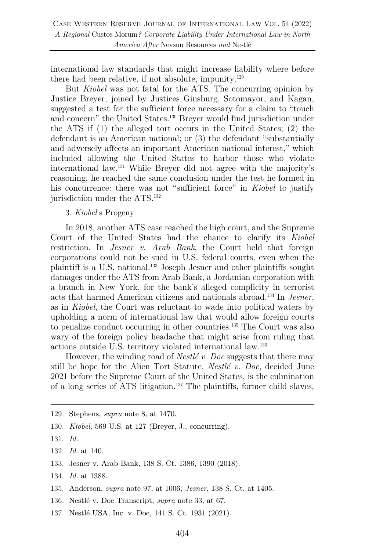international law standards that might increase liability where before there had been relative, if not absolute, impunity.<sup>129</sup>

But *Kiobel* was not fatal for the ATS. The concurring opinion by Justice Breyer, joined by Justices Ginsburg, Sotomayor, and Kagan, suggested a test for the sufficient force necessary for a claim to "touch and concern" the United States.130 Breyer would find jurisdiction under the ATS if (1) the alleged tort occurs in the United States; (2) the defendant is an American national; or (3) the defendant "substantially and adversely affects an important American national interest," which included allowing the United States to harbor those who violate international law.131 While Breyer did not agree with the majority's reasoning, he reached the same conclusion under the test he formed in his concurrence: there was not "sufficient force" in *Kiobel* to justify jurisdiction under the ATS.<sup>132</sup>

#### 3. *Kiobel*'s Progeny

In 2018, another ATS case reached the high court, and the Supreme Court of the United States had the chance to clarify its *Kiobel* restriction. In *Jesner v. Arab Bank*, the Court held that foreign corporations could not be sued in U.S. federal courts, even when the plaintiff is a U.S. national.133 Joseph Jesner and other plaintiffs sought damages under the ATS from Arab Bank, a Jordanian corporation with a branch in New York, for the bank's alleged complicity in terrorist acts that harmed American citizens and nationals abroad.134 In *Jesner*, as in *Kiobel*, the Court was reluctant to wade into political waters by upholding a norm of international law that would allow foreign courts to penalize conduct occurring in other countries.135 The Court was also wary of the foreign policy headache that might arise from ruling that actions outside U.S. territory violated international law.136

However, the winding road of *Nestlé v. Doe* suggests that there may still be hope for the Alien Tort Statute. *Nestlé v. Doe*, decided June 2021 before the Supreme Court of the United States, is the culmination of a long series of ATS litigation.137 The plaintiffs, former child slaves,

- 133. Jesner v. Arab Bank, 138 S. Ct. 1386, 1390 (2018).
- 134. *Id.* at 1388.
- 135. Anderson, *supra* note 97, at 1006; *Jesner*, 138 S. Ct. at 1405.
- 136. Nestlé v. Doe Transcript, *supra* note 33, at 67.
- 137. Nestlé USA, Inc. v. Doe, 141 S. Ct. 1931 (2021).

<sup>129.</sup> Stephens, *supra* note 8, at 1470.

<sup>130.</sup> *Kiobel*, 569 U.S. at 127 (Breyer, J., concurring).

<sup>131.</sup> *Id.*

<sup>132.</sup> *Id.* at 140.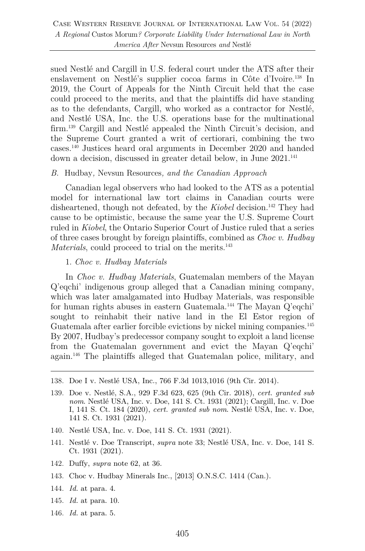sued Nestlé and Cargill in U.S. federal court under the ATS after their enslavement on Nestlé's supplier cocoa farms in Côte d'Ivoire.<sup>138</sup> In 2019, the Court of Appeals for the Ninth Circuit held that the case could proceed to the merits, and that the plaintiffs did have standing as to the defendants, Cargill, who worked as a contractor for Nestlé, and Nestlé USA, Inc. the U.S. operations base for the multinational firm.139 Cargill and Nestlé appealed the Ninth Circuit's decision, and the Supreme Court granted a writ of certiorari, combining the two cases.140 Justices heard oral arguments in December 2020 and handed down a decision, discussed in greater detail below, in June 2021. 141

#### *B.* Hudbay*,* Nevsun Resources*, and the Canadian Approach*

Canadian legal observers who had looked to the ATS as a potential model for international law tort claims in Canadian courts were disheartened, though not defeated, by the *Kiobel* decision.<sup>142</sup> They had cause to be optimistic, because the same year the U.S. Supreme Court ruled in *Kiobel*, the Ontario Superior Court of Justice ruled that a series of three cases brought by foreign plaintiffs, combined as *Choc v. Hudbay Materials*, could proceed to trial on the merits.<sup>143</sup>

#### 1. *Choc v. Hudbay Materials*

In *Choc v. Hudbay Materials*, Guatemalan members of the Mayan Q'eqchi' indigenous group alleged that a Canadian mining company, which was later amalgamated into Hudbay Materials, was responsible for human rights abuses in eastern Guatemala. <sup>144</sup> The Mayan Q'eqchi' sought to reinhabit their native land in the El Estor region of Guatemala after earlier forcible evictions by nickel mining companies.145 By 2007, Hudbay's predecessor company sought to exploit a land license from the Guatemalan government and evict the Mayan Q'eqchi' again.146 The plaintiffs alleged that Guatemalan police, military, and

- 140. Nestlé USA, Inc. v. Doe, 141 S. Ct. 1931 (2021).
- 141. Nestlé v. Doe Transcript, *supra* note 33; Nestlé USA, Inc. v. Doe, 141 S. Ct. 1931 (2021).
- 142. Duffy, *supra* note 62, at 36.
- 143. Choc v. Hudbay Minerals Inc., [2013] O.N.S.C. 1414 (Can.).
- 144. *Id.* at para. 4.
- 145. *Id.* at para. 10.
- 146. *Id.* at para. 5.

<sup>138.</sup> Doe I v. Nestlé USA, Inc., 766 F.3d 1013,1016 (9th Cir. 2014).

<sup>139.</sup> Doe v. Nestlé, S.A., 929 F.3d 623, 625 (9th Cir. 2018), *cert. granted sub nom*. Nestlé USA, Inc. v. Doe, 141 S. Ct. 1931 (2021); Cargill, Inc. v. Doe I, 141 S. Ct. 184 (2020), *cert. granted sub nom*. Nestlé USA, Inc. v. Doe, 141 S. Ct. 1931 (2021).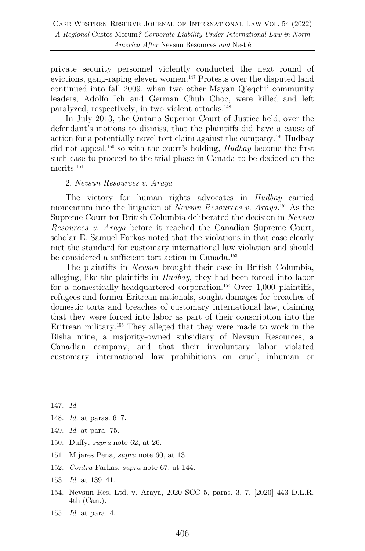private security personnel violently conducted the next round of evictions, gang-raping eleven women.147 Protests over the disputed land continued into fall 2009, when two other Mayan Q'eqchi' community leaders, Adolfo Ich and German Chub Choc, were killed and left paralyzed, respectively, in two violent attacks.148

In July 2013, the Ontario Superior Court of Justice held, over the defendant's motions to dismiss, that the plaintiffs did have a cause of action for a potentially novel tort claim against the company.149 Hudbay did not appeal,150 so with the court's holding, *Hudbay* become the first such case to proceed to the trial phase in Canada to be decided on the merits.<sup>151</sup>

#### 2. *Nevsun Resources v. Araya*

The victory for human rights advocates in *Hudbay* carried momentum into the litigation of *Nevsun Resources v. Araya*. <sup>152</sup> As the Supreme Court for British Columbia deliberated the decision in *Nevsun Resources v. Araya* before it reached the Canadian Supreme Court, scholar E. Samuel Farkas noted that the violations in that case clearly met the standard for customary international law violation and should be considered a sufficient tort action in Canada.<sup>153</sup>

The plaintiffs in *Nevsun* brought their case in British Columbia, alleging, like the plaintiffs in *Hudbay*, they had been forced into labor for a domestically-headquartered corporation.<sup>154</sup> Over 1,000 plaintiffs, refugees and former Eritrean nationals, sought damages for breaches of domestic torts and breaches of customary international law, claiming that they were forced into labor as part of their conscription into the Eritrean military.155 They alleged that they were made to work in the Bisha mine, a majority-owned subsidiary of Nevsun Resources, a Canadian company, and that their involuntary labor violated customary international law prohibitions on cruel, inhuman or

- 149. *Id.* at para. 75.
- 150. Duffy, *supra* note 62, at 26.
- 151. Mijares Pena, *supra* note 60, at 13.
- 152. *Contra* Farkas, *supra* note 67, at 144.
- 153. *Id.* at 139–41.
- 154. Nevsun Res. Ltd. v. Araya, 2020 SCC 5, paras. 3, 7, [2020] 443 D.L.R. 4th (Can.).
- 155. *Id.* at para. 4.

<sup>147.</sup> *Id.*

<sup>148.</sup> *Id.* at paras. 6–7.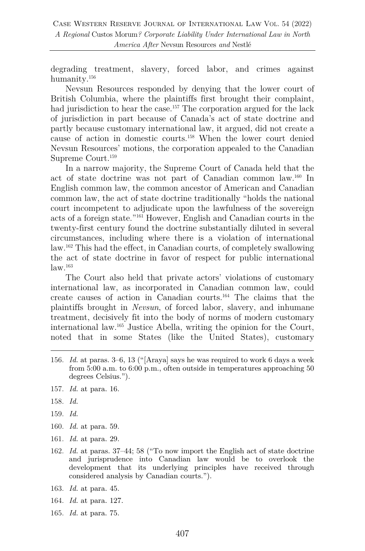degrading treatment, slavery, forced labor, and crimes against humanity.156

Nevsun Resources responded by denying that the lower court of British Columbia, where the plaintiffs first brought their complaint, had jurisdiction to hear the case.<sup>157</sup> The corporation argued for the lack of jurisdiction in part because of Canada's act of state doctrine and partly because customary international law, it argued, did not create a cause of action in domestic courts.158 When the lower court denied Nevsun Resources' motions, the corporation appealed to the Canadian Supreme Court.159

In a narrow majority, the Supreme Court of Canada held that the act of state doctrine was not part of Canadian common law.160 In English common law, the common ancestor of American and Canadian common law, the act of state doctrine traditionally "holds the national court incompetent to adjudicate upon the lawfulness of the sovereign acts of a foreign state."161 However, English and Canadian courts in the twenty-first century found the doctrine substantially diluted in several circumstances, including where there is a violation of international law.162 This had the effect, in Canadian courts, of completely swallowing the act of state doctrine in favor of respect for public international  $law.$ <sup>163</sup>

The Court also held that private actors' violations of customary international law, as incorporated in Canadian common law, could create causes of action in Canadian courts.164 The claims that the plaintiffs brought in *Nevsun*, of forced labor, slavery, and inhumane treatment, decisively fit into the body of norms of modern customary international law.165 Justice Abella, writing the opinion for the Court, noted that in some States (like the United States), customary

- 156. *Id.* at paras. 3–6, 13 ("[Araya] says he was required to work 6 days a week from 5:00 a.m. to 6:00 p.m., often outside in temperatures approaching 50 degrees Celsius.").
- 157. *Id.* at para. 16.
- 158. *Id.*
- 159. *Id.*
- 160. *Id.* at para. 59.
- 161. *Id.* at para. 29.
- 162. *Id.* at paras. 37–44; 58 ("To now import the English act of state doctrine and jurisprudence into Canadian law would be to overlook the development that its underlying principles have received through considered analysis by Canadian courts.").
- 163. *Id.* at para. 45.
- 164. *Id.* at para. 127.
- 165. *Id.* at para. 75.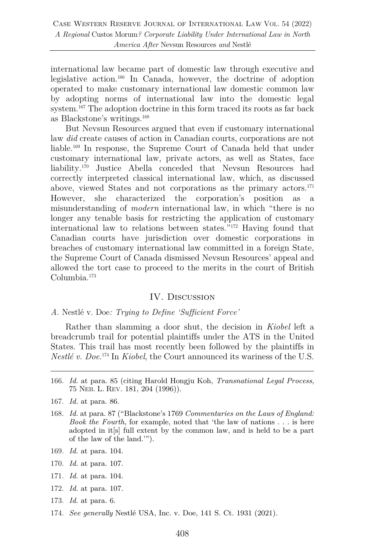international law became part of domestic law through executive and legislative action.166 In Canada, however, the doctrine of adoption operated to make customary international law domestic common law by adopting norms of international law into the domestic legal system.<sup>167</sup> The adoption doctrine in this form traced its roots as far back as Blackstone's writings. $^{168}$ 

But Nevsun Resources argued that even if customary international law *did* create causes of action in Canadian courts, corporations are not liable.169 In response, the Supreme Court of Canada held that under customary international law, private actors, as well as States, face liability.170 Justice Abella conceded that Nevsun Resources had correctly interpreted classical international law, which, as discussed above, viewed States and not corporations as the primary actors.171 However, she characterized the corporation's position as a misunderstanding of *modern* international law, in which "there is no longer any tenable basis for restricting the application of customary international law to relations between states."172 Having found that Canadian courts have jurisdiction over domestic corporations in breaches of customary international law committed in a foreign State, the Supreme Court of Canada dismissed Nevsun Resources' appeal and allowed the tort case to proceed to the merits in the court of British Columbia.173

## IV. Discussion

*A.* Nestlé v. Doe*: Trying to Define 'Sufficient Force'*

Rather than slamming a door shut, the decision in *Kiobel* left a breadcrumb trail for potential plaintiffs under the ATS in the United States. This trail has most recently been followed by the plaintiffs in *Nestlé v. Doe*. <sup>174</sup> In *Kiobel*, the Court announced its wariness of the U.S.

- 166. *Id.* at para. 85 (citing Harold Hongju Koh, *Transnational Legal Process*, 75 NEB. L. REV. 181, 204 (1996)).
- 167. *Id.* at para. 86.
- 168. *Id.* at para. 87 ("Blackstone's 1769 *Commentaries on the Laws of England: Book the Fourth*, for example, noted that 'the law of nations . . . is here adopted in it[s] full extent by the common law, and is held to be a part of the law of the land.'").
- 169. *Id.* at para. 104.
- 170. *Id.* at para. 107.
- 171. *Id.* at para. 104.
- 172. *Id.* at para. 107.
- 173. *Id.* at para. 6.
- 174. *See generally* Nestlé USA, Inc. v. Doe, 141 S. Ct. 1931 (2021).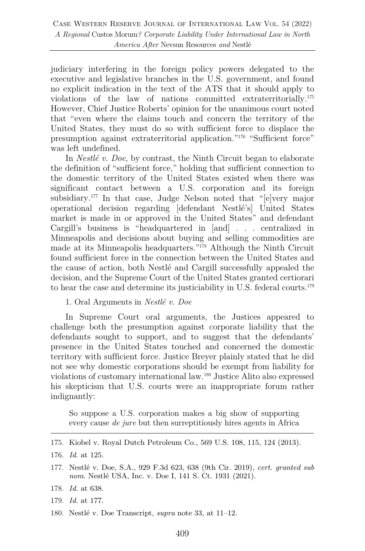judiciary interfering in the foreign policy powers delegated to the executive and legislative branches in the U.S. government, and found no explicit indication in the text of the ATS that it should apply to violations of the law of nations committed extraterritorially.175 However, Chief Justice Roberts' opinion for the unanimous court noted that "even where the claims touch and concern the territory of the United States, they must do so with sufficient force to displace the presumption against extraterritorial application."176 "Sufficient force" was left undefined.

In *Nestlé v. Doe*, by contrast, the Ninth Circuit began to elaborate the definition of "sufficient force," holding that sufficient connection to the domestic territory of the United States existed when there was significant contact between a U.S. corporation and its foreign subsidiary.<sup>177</sup> In that case, Judge Nelson noted that "[e]very major operational decision regarding [defendant Nestlé's] United States market is made in or approved in the United States" and defendant Cargill's business is "headquartered in [and] . . . centralized in Minneapolis and decisions about buying and selling commodities are made at its Minneapolis headquarters."178 Although the Ninth Circuit found sufficient force in the connection between the United States and the cause of action, both Nestlé and Cargill successfully appealed the decision, and the Supreme Court of the United States granted certiorari to hear the case and determine its justiciability in U.S. federal courts.179

1. Oral Arguments in *Nestlé v. Doe*

In Supreme Court oral arguments, the Justices appeared to challenge both the presumption against corporate liability that the defendants sought to support, and to suggest that the defendants' presence in the United States touched and concerned the domestic territory with sufficient force. Justice Breyer plainly stated that he did not see why domestic corporations should be exempt from liability for violations of customary international law.180 Justice Alito also expressed his skepticism that U.S. courts were an inappropriate forum rather indignantly:

So suppose a U.S. corporation makes a big show of supporting every cause *de jure* but then surreptitiously hires agents in Africa

<sup>175.</sup> Kiobel v. Royal Dutch Petroleum Co., 569 U.S. 108, 115, 124 (2013).

<sup>176.</sup> *Id.* at 125.

<sup>177.</sup> Nestlé v. Doe, S.A., 929 F.3d 623, 638 (9th Cir. 2019), *cert. granted sub nom*. Nestlé USA, Inc. v. Doe I, 141 S. Ct. 1931 (2021).

<sup>178.</sup> *Id.* at 638.

<sup>179.</sup> *Id.* at 177.

<sup>180.</sup> Nestlé v. Doe Transcript, *supra* note 33, at 11–12.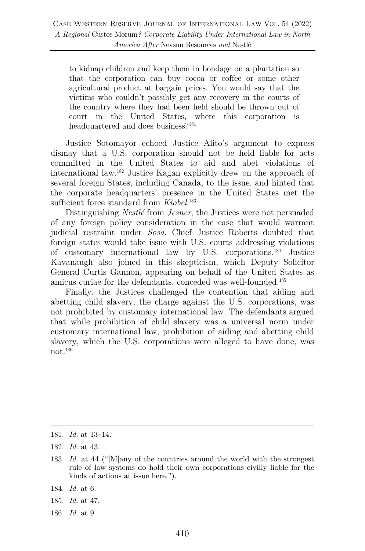to kidnap children and keep them in bondage on a plantation so that the corporation can buy cocoa or coffee or some other agricultural product at bargain prices. You would say that the victims who couldn't possibly get any recovery in the courts of the country where they had been held should be thrown out of court in the United States, where this corporation is headquartered and does business?<sup>181</sup>

Justice Sotomayor echoed Justice Alito's argument to express dismay that a U.S. corporation should not be held liable for acts committed in the United States to aid and abet violations of international law. <sup>182</sup> Justice Kagan explicitly drew on the approach of several foreign States, including Canada, to the issue, and hinted that the corporate headquarters' presence in the United States met the sufficient force standard from *Kiobel*.<sup>183</sup>

Distinguishing *Nestlé* from *Jesner*, the Justices were not persuaded of any foreign policy consideration in the case that would warrant judicial restraint under *Sosa*. Chief Justice Roberts doubted that foreign states would take issue with U.S. courts addressing violations of customary international law by U.S. corporations.184 Justice Kavanaugh also joined in this skepticism, which Deputy Solicitor General Curtis Gannon, appearing on behalf of the United States as amicus curiae for the defendants, conceded was well-founded.185

Finally, the Justices challenged the contention that aiding and abetting child slavery, the charge against the U.S. corporations, was not prohibited by customary international law. The defendants argued that while prohibition of child slavery was a universal norm under customary international law, prohibition of aiding and abetting child slavery, which the U.S. corporations were alleged to have done, was not.186

<sup>181.</sup> *Id.* at 13–14.

<sup>182.</sup> *Id.* at 43.

<sup>183.</sup> *Id.* at 44 ("[M]any of the countries around the world with the strongest rule of law systems do hold their own corporations civilly liable for the kinds of actions at issue here.").

<sup>184.</sup> *Id.* at 6.

<sup>185.</sup> *Id.* at 47.

<sup>186.</sup> *Id.* at 9.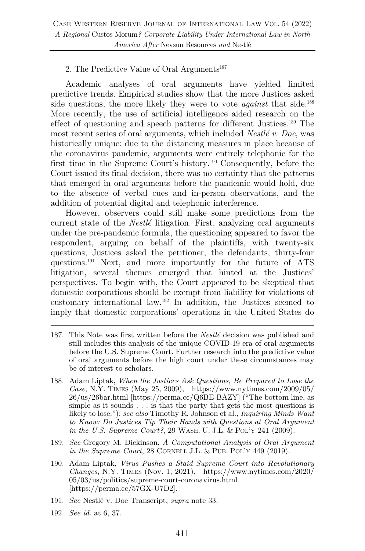## 2. The Predictive Value of Oral Arguments<sup>187</sup>

Academic analyses of oral arguments have yielded limited predictive trends. Empirical studies show that the more Justices asked side questions, the more likely they were to vote *against* that side.<sup>188</sup> More recently, the use of artificial intelligence aided research on the effect of questioning and speech patterns for different Justices.189 The most recent series of oral arguments, which included *Nestlé v. Doe*, was historically unique: due to the distancing measures in place because of the coronavirus pandemic, arguments were entirely telephonic for the first time in the Supreme Court's history.190 Consequently, before the Court issued its final decision, there was no certainty that the patterns that emerged in oral arguments before the pandemic would hold, due to the absence of verbal cues and in-person observations, and the addition of potential digital and telephonic interference.

However, observers could still make some predictions from the current state of the *Nestlé* litigation. First, analyzing oral arguments under the pre-pandemic formula, the questioning appeared to favor the respondent, arguing on behalf of the plaintiffs, with twenty-six questions; Justices asked the petitioner, the defendants, thirty-four questions.191 Next, and more importantly for the future of ATS litigation, several themes emerged that hinted at the Justices' perspectives. To begin with, the Court appeared to be skeptical that domestic corporations should be exempt from liability for violations of customary international law.192 In addition, the Justices seemed to imply that domestic corporations' operations in the United States do

- 187. This Note was first written before the *Nestlé* decision was published and still includes this analysis of the unique COVID-19 era of oral arguments before the U.S. Supreme Court. Further research into the predictive value of oral arguments before the high court under these circumstances may be of interest to scholars.
- 188. Adam Liptak, *When the Justices Ask Questions, Be Prepared to Lose the Case*, N.Y. TIMES (May 25, 2009), https://www.nytimes.com/2009/05/ 26/us/26bar.html [https://perma.cc/Q6BE-BAZY] ("The bottom line, as simple as it sounds . . . is that the party that gets the most questions is likely to lose."); *see also* Timothy R. Johnson et al., *Inquiring Minds Want to Know: Do Justices Tip Their Hands with Questions at Oral Argument in the U.S. Supreme Court?*, 29 WASH. U. J.L. & POL'Y 241 (2009).
- 189. *See* Gregory M. Dickinson, *A Computational Analysis of Oral Argument in the Supreme Court*, 28 CORNELL J.L. & PUB. POL'Y 449 (2019).
- 190. Adam Liptak, *Virus Pushes a Staid Supreme Court into Revolutionary Changes*, N.Y. TIMES (Nov. 1, 2021), https://www.nytimes.com/2020/ 05/03/us/politics/supreme-court-coronavirus.html [https://perma.cc/57GX-U7D2].
- 191. *See* Nestlé v. Doe Transcript, *supra* note 33.
- 192. *See id.* at 6, 37.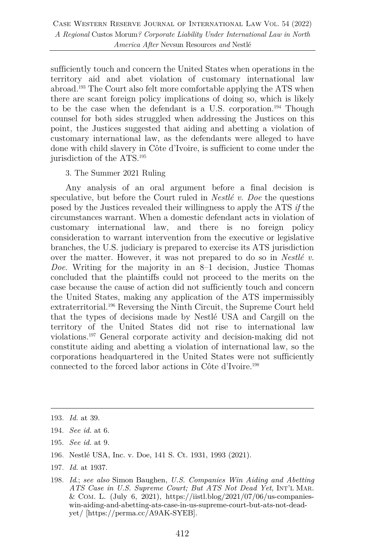sufficiently touch and concern the United States when operations in the territory aid and abet violation of customary international law abroad.193 The Court also felt more comfortable applying the ATS when there are scant foreign policy implications of doing so, which is likely to be the case when the defendant is a U.S. corporation.194 Though counsel for both sides struggled when addressing the Justices on this point, the Justices suggested that aiding and abetting a violation of customary international law, as the defendants were alleged to have done with child slavery in Côte d'Ivoire, is sufficient to come under the jurisdiction of the ATS.195

#### 3. The Summer 2021 Ruling

Any analysis of an oral argument before a final decision is speculative, but before the Court ruled in *Nestlé v. Doe* the questions posed by the Justices revealed their willingness to apply the ATS *if* the circumstances warrant. When a domestic defendant acts in violation of customary international law, and there is no foreign policy consideration to warrant intervention from the executive or legislative branches, the U.S. judiciary is prepared to exercise its ATS jurisdiction over the matter. However, it was not prepared to do so in *Nestlé v. Doe*. Writing for the majority in an 8–1 decision, Justice Thomas concluded that the plaintiffs could not proceed to the merits on the case because the cause of action did not sufficiently touch and concern the United States, making any application of the ATS impermissibly extraterritorial.196 Reversing the Ninth Circuit, the Supreme Court held that the types of decisions made by Nestlé USA and Cargill on the territory of the United States did not rise to international law violations.197 General corporate activity and decision-making did not constitute aiding and abetting a violation of international law, so the corporations headquartered in the United States were not sufficiently connected to the forced labor actions in Côte d'Ivoire.198

- 195. *See id.* at 9.
- 196. Nestlé USA, Inc. v. Doe, 141 S. Ct. 1931, 1993 (2021).
- 197. *Id.* at 1937.

<sup>193.</sup> *Id.* at 39.

<sup>194.</sup> *See id.* at 6.

<sup>198.</sup> *Id*.; *see also* Simon Baughen, *U.S. Companies Win Aiding and Abetting ATS Case in U.S. Supreme Court; But ATS Not Dead Yet*, INT'L MAR. & COM. L. (July 6, 2021), https://iistl.blog/2021/07/06/us-companieswin-aiding-and-abetting-ats-case-in-us-supreme-court-but-ats-not-deadyet/ [https://perma.cc/A9AK-SYEB].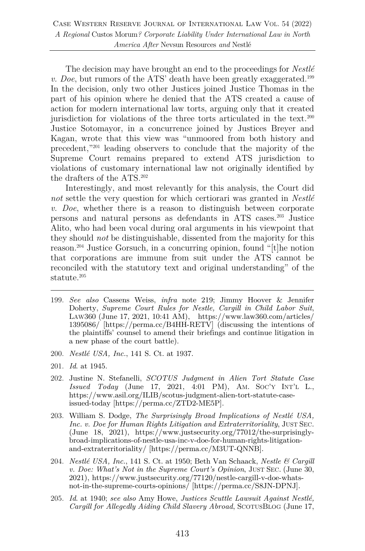The decision may have brought an end to the proceedings for *Nestlé v. Doe*, but rumors of the ATS' death have been greatly exaggerated.<sup>199</sup> In the decision, only two other Justices joined Justice Thomas in the part of his opinion where he denied that the ATS created a cause of action for modern international law torts, arguing only that it created jurisdiction for violations of the three torts articulated in the text.200 Justice Sotomayor, in a concurrence joined by Justices Breyer and Kagan, wrote that this view was "unmoored from both history and precedent,"201 leading observers to conclude that the majority of the Supreme Court remains prepared to extend ATS jurisdiction to violations of customary international law not originally identified by the drafters of the ATS.202

Interestingly, and most relevantly for this analysis, the Court did *not* settle the very question for which certiorari was granted in *Nestlé v. Doe*, whether there is a reason to distinguish between corporate persons and natural persons as defendants in ATS cases.203 Justice Alito, who had been vocal during oral arguments in his viewpoint that they should *not* be distinguishable, dissented from the majority for this reason.204 Justice Gorsuch, in a concurring opinion, found "[t]he notion that corporations are immune from suit under the ATS cannot be reconciled with the statutory text and original understanding" of the statute.205

- 199. *See also* Cassens Weiss, *infra* note 219; Jimmy Hoover & Jennifer Doherty, *Supreme Court Rules for Nestle, Cargill in Child Labor Suit*, LAW360 (June 17, 2021, 10:41 AM), https://www.law360.com/articles/ 1395086/ [https://perma.cc/B4HH-RETV] (discussing the intentions of the plaintiffs' counsel to amend their briefings and continue litigation in a new phase of the court battle).
- 200. *Nestlé USA, Inc.*, 141 S. Ct. at 1937.
- 201. *Id*. at 1945.
- 202. Justine N. Stefanelli, *SCOTUS Judgment in Alien Tort Statute Case Issued Today* (June 17, 2021, 4:01 PM), AM. SOC'Y INT'L L., https://www.asil.org/ILIB/scotus-judgment-alien-tort-statute-caseissued-today [https://perma.cc/ZTD2-ME5P].
- 203. William S. Dodge, *The Surprisingly Broad Implications of Nestlé USA, Inc. v. Doe for Human Rights Litigation and Extraterritoriality*, JUST SEC. (June 18, 2021), https://www.justsecurity.org/77012/the-surprisinglybroad-implications-of-nestle-usa-inc-v-doe-for-human-rights-litigationand-extraterritoriality/ [https://perma.cc/M3UT-QNNB].
- 204. *Nestlé USA, Inc.*, 141 S. Ct. at 1950; Beth Van Schaack, *Nestle & Cargill v. Doe: What's Not in the Supreme Court's Opinion*, JUST SEC. (June 30, 2021), https://www.justsecurity.org/77120/nestle-cargill-v-doe-whatsnot-in-the-supreme-courts-opinions/ [https://perma.cc/S8JN-DPNJ].
- 205. *Id*. at 1940; *see also* Amy Howe, *Justices Scuttle Lawsuit Against Nestlé, Cargill for Allegedly Aiding Child Slavery Abroad*, SCOTUSBLOG (June 17,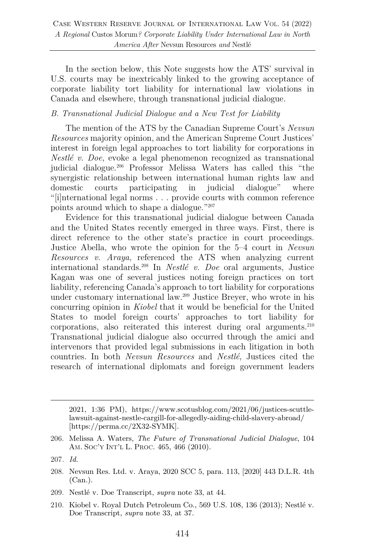In the section below, this Note suggests how the ATS' survival in U.S. courts may be inextricably linked to the growing acceptance of corporate liability tort liability for international law violations in Canada and elsewhere, through transnational judicial dialogue.

#### *B. Transnational Judicial Dialogue and a New Test for Liability*

The mention of the ATS by the Canadian Supreme Court's *Nevsun Resources* majority opinion, and the American Supreme Court Justices' interest in foreign legal approaches to tort liability for corporations in *Nestlé v. Doe,* evoke a legal phenomenon recognized as transnational judicial dialogue.206 Professor Melissa Waters has called this "the synergistic relationship between international human rights law and domestic courts participating in judicial dialogue" where "[i]nternational legal norms . . . provide courts with common reference points around which to shape a dialogue."207

Evidence for this transnational judicial dialogue between Canada and the United States recently emerged in three ways. First, there is direct reference to the other state's practice in court proceedings. Justice Abella, who wrote the opinion for the 5–4 court in *Nevsun Resources v. Araya*, referenced the ATS when analyzing current international standards.208 In *Nestlé v. Doe* oral arguments, Justice Kagan was one of several justices noting foreign practices on tort liability, referencing Canada's approach to tort liability for corporations under customary international law.209 Justice Breyer, who wrote in his concurring opinion in *Kiobel* that it would be beneficial for the United States to model foreign courts' approaches to tort liability for corporations, also reiterated this interest during oral arguments.210 Transnational judicial dialogue also occurred through the amici and intervenors that provided legal submissions in each litigation in both countries. In both *Nevsun Resources* and *Nestlé*, Justices cited the research of international diplomats and foreign government leaders

- 209. Nestlé v. Doe Transcript, *supra* note 33, at 44.
- 210. Kiobel v. Royal Dutch Petroleum Co., 569 U.S. 108, 136 (2013); Nestlé v. Doe Transcript, *supra* note 33, at 37.

<sup>2021, 1:36</sup> PM), https://www.scotusblog.com/2021/06/justices-scuttlelawsuit-against-nestle-cargill-for-allegedly-aiding-child-slavery-abroad/ [https://perma.cc/2X32-SYMK].

<sup>206.</sup> Melissa A. Waters, *The Future of Transnational Judicial Dialogue*, 104 AM. SOC'Y INT'L L. PROC. 465, 466 (2010).

<sup>207</sup>*. Id.*

<sup>208.</sup> Nevsun Res. Ltd. v. Araya, 2020 SCC 5, para. 113, [2020] 443 D.L.R. 4th (Can.).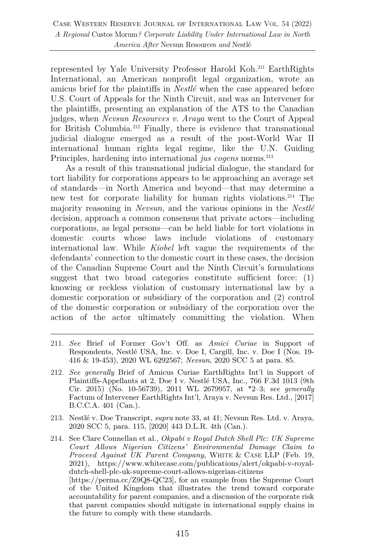represented by Yale University Professor Harold Koh.211 EarthRights International, an American nonprofit legal organization, wrote an amicus brief for the plaintiffs in *Nestlé* when the case appeared before U.S. Court of Appeals for the Ninth Circuit, and was an Intervener for the plaintiffs, presenting an explanation of the ATS to the Canadian judges, when *Nevsun Resources v. Araya* went to the Court of Appeal for British Columbia.<sup>212</sup> Finally, there is evidence that transnational judicial dialogue emerged as a result of the post-World War II international human rights legal regime, like the U.N. Guiding Principles, hardening into international *jus cogens* norms.<sup>213</sup>

As a result of this transnational judicial dialogue, the standard for tort liability for corporations appears to be approaching an average set of standards—in North America and beyond—that may determine a new test for corporate liability for human rights violations.214 The majority reasoning in *Nevsun,* and the various opinions in the *Nestlé*  decision, approach a common consensus that private actors—including corporations, as legal persons—can be held liable for tort violations in domestic courts whose laws include violations of customary international law. While *Kiobel* left vague the requirements of the defendants' connection to the domestic court in these cases, the decision of the Canadian Supreme Court and the Ninth Circuit's formulations suggest that two broad categories constitute sufficient force: (1) knowing or reckless violation of customary international law by a domestic corporation or subsidiary of the corporation and (2) control of the domestic corporation or subsidiary of the corporation over the action of the actor ultimately committing the violation. When

- 211. *See* Brief of Former Gov't Off. as *Amici Curiae* in Support of Respondents, Nestlé USA, Inc. v. Doe I, Cargill, Inc. v. Doe I (Nos. 19- 416 & 19-453), 2020 WL 6292567; *Nevsun*, 2020 SCC 5 at para. 85.
- 212. *See generally* Brief of Amicus Curiae EarthRights Int'l in Support of Plaintiffs-Appellants at 2, Doe I v. Nestlé USA, Inc., 766 F.3d 1013 (9th Cir. 2015) (No. 10-56739), 2011 WL 2679957, at \*2–3; *see generally*  Factum of Intervener EarthRights Int'l, Araya v. Nevsun Res. Ltd., [2017] B.C.C.A. 401 (Can.).
- 213. Nestlé v. Doe Transcript, *supra* note 33, at 41; Nevsun Res. Ltd. v. Araya, 2020 SCC 5, para. 115, [2020] 443 D.L.R. 4th (Can.).
- 214. See Clare Connellan et al., *Okpabi v Royal Dutch Shell Plc: UK Supreme Court Allows Nigerian Citizens' Environmental Damage Claim to Proceed Against UK Parent Company*, WHITE & CASE LLP (Feb. 19, 2021), https://www.whitecase.com/publications/alert/okpabi-v-royaldutch-shell-plc-uk-supreme-court-allows-nigerian-citizens [https://perma.cc/Z9Q8-QC23], for an example from the Supreme Court of the United Kingdom that illustrates the trend toward corporate accountability for parent companies, and a discussion of the corporate risk that parent companies should mitigate in international supply chains in the future to comply with these standards.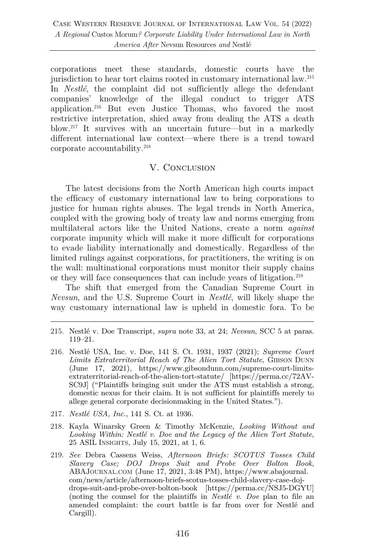corporations meet these standards, domestic courts have the jurisdiction to hear tort claims rooted in customary international law.215 In *Nestlé*, the complaint did not sufficiently allege the defendant companies' knowledge of the illegal conduct to trigger ATS application.216 But even Justice Thomas, who favored the most restrictive interpretation, shied away from dealing the ATS a death blow.217 It survives with an uncertain future—but in a markedly different international law context—where there is a trend toward corporate accountability.218

## V. Conclusion

The latest decisions from the North American high courts impact the efficacy of customary international law to bring corporations to justice for human rights abuses. The legal trends in North America, coupled with the growing body of treaty law and norms emerging from multilateral actors like the United Nations, create a norm *against* corporate impunity which will make it more difficult for corporations to evade liability internationally and domestically. Regardless of the limited rulings against corporations, for practitioners, the writing is on the wall: multinational corporations must monitor their supply chains or they will face consequences that can include years of litigation.219

The shift that emerged from the Canadian Supreme Court in *Nevsun*, and the U.S. Supreme Court in *Nestlé*, will likely shape the way customary international law is upheld in domestic fora. To be

- 217*. Nestlé USA, Inc.*, 141 S. Ct. at 1936.
- 218. Kayla Winarsky Green & Timothy McKenzie, *Looking Without and Looking Within: Nestlé v. Doe and the Legacy of the Alien Tort Statute*, 25 ASIL INSIGHTS, July 15, 2021, at 1, 6.
- 219. *See* Debra Cassens Weiss, *Afternoon Briefs: SCOTUS Tosses Child Slavery Case; DOJ Drops Suit and Probe Over Bolton Book*, ABAJOURNAL.COM (June 17, 2021, 3:48 PM), https://www.abajournal. com/news/article/afternoon-briefs-scotus-tosses-child-slavery-case-dojdrops-suit-and-probe-over-bolton-book [https://perma.cc/NSJ5-DGYU] (noting the counsel for the plaintiffs in *Nestlé v. Doe* plan to file an amended complaint: the court battle is far from over for Nestlé and Cargill).

<sup>215.</sup> Nestlé v. Doe Transcript, *supra* note 33, at 24; *Nevsun*, SCC 5 at paras. 119–21.

<sup>216.</sup> Nestlé USA, Inc. v. Doe, 141 S. Ct. 1931, 1937 (2021); *Supreme Court*  Limits Extraterritorial Reach of The Alien Tort Statute, GIBSON DUNN (June 17, 2021), https://www.gibsondunn.com/supreme-court-limitsextraterritorial-reach-of-the-alien-tort-statute/ [https://perma.cc/72AV-SC9J] ("Plaintiffs bringing suit under the ATS must establish a strong, domestic nexus for their claim. It is not sufficient for plaintiffs merely to allege general corporate decisionmaking in the United States.").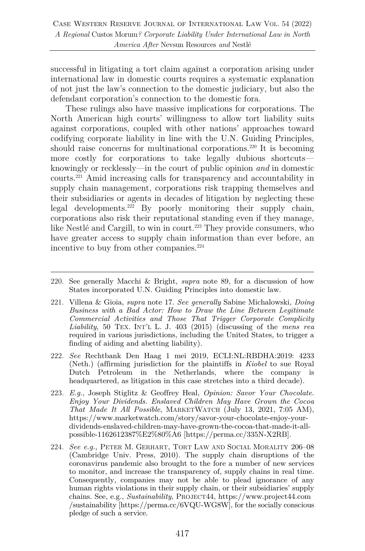successful in litigating a tort claim against a corporation arising under international law in domestic courts requires a systematic explanation of not just the law's connection to the domestic judiciary, but also the defendant corporation's connection to the domestic fora.

These rulings also have massive implications for corporations. The North American high courts' willingness to allow tort liability suits against corporations, coupled with other nations' approaches toward codifying corporate liability in line with the U.N. Guiding Principles, should raise concerns for multinational corporations.<sup>220</sup> It is becoming more costly for corporations to take legally dubious shortcuts knowingly or recklessly—in the court of public opinion *and* in domestic courts.221 Amid increasing calls for transparency and accountability in supply chain management, corporations risk trapping themselves and their subsidiaries or agents in decades of litigation by neglecting these legal developments. <sup>222</sup> By poorly monitoring their supply chain, corporations also risk their reputational standing even if they manage, like Nestlé and Cargill, to win in court.<sup>223</sup> They provide consumers, who have greater access to supply chain information than ever before, an incentive to buy from other companies.<sup>224</sup>

- 220. See generally Macchi & Bright, *supra* note 89, for a discussion of how States incorporated U.N. Guiding Principles into domestic law.
- 221. Villena & Gioia, *supra* note 17. *See generally* Sabine Michalowski, *Doing Business with a Bad Actor: How to Draw the Line Between Legitimate Commercial Activities and Those That Trigger Corporate Complicity Liability*, 50 TEX. INT'L L. J. 403 (2015) (discussing of the *mens rea* required in various jurisdictions, including the United States, to trigger a finding of aiding and abetting liability).
- 222. *See* Rechtbank Den Haag 1 mei 2019, ECLI:NL:RBDHA:2019: 4233 (Neth.) (affirming jurisdiction for the plaintiffs in *Kiobel* to sue Royal Dutch Petroleum in the Netherlands, where the company is headquartered, as litigation in this case stretches into a third decade).
- 223. *E.g.*, Joseph Stiglitz & Geoffrey Heal, *Opinion: Savor Your Chocolate. Enjoy Your Dividends. Enslaved Children May Have Grown the Cocoa That Made It All Possible*, MARKETWATCH (July 13, 2021, 7:05 AM), https://www.marketwatch.com/story/savor-your-chocolate-enjoy-yourdividends-enslaved-children-may-have-grown-the-cocoa-that-made-it-allpossible-1162612387%E2%80%A6 [https://perma.cc/335N-X2RB].
- 224. *See e.g.*, PETER M. GERHART, TORT LAW AND SOCIAL MORALITY 206–08 (Cambridge Univ. Press, 2010). The supply chain disruptions of the coronavirus pandemic also brought to the fore a number of new services to monitor, and increase the transparency of, supply chains in real time. Consequently, companies may not be able to plead ignorance of any human rights violations in their supply chain, or their subsidiaries' supply chains. See, e.g., *Sustainability*, PROJECT44, https://www.project44.com /sustainability [https://perma.cc/6VQU-WG8W], for the socially conscious pledge of such a service.